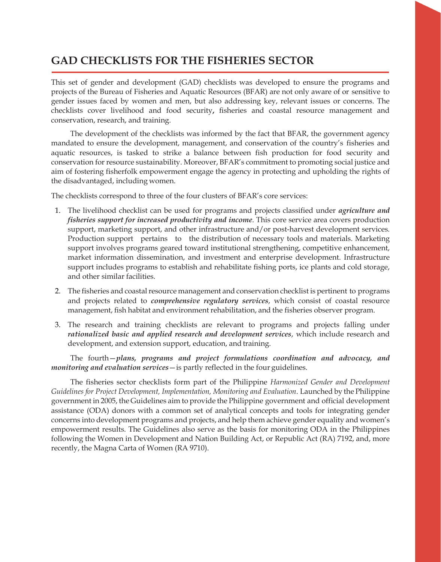# **GAD CHECKLISTS FOR THE FISHERIES SECTOR**

This set of gender and development (GAD) checklists was developed to ensure the programs and projects of the Bureau of Fisheries and Aquatic Resources (BFAR) are not only aware of or sensitive to gender issues faced by women and men, but also addressing key, relevant issues or concerns. The checklists cover livelihood and food security**,** fisheries and coastal resource management and conservation, research, and training.

The development of the checklists was informed by the fact that BFAR, the government agency mandated to ensure the development, management, and conservation of the country's fisheries and aquatic resources, is tasked to strike a balance between fish production for food security and conservation for resource sustainability. Moreover, BFAR's commitment to promoting social justice and aim of fostering fisherfolk empowerment engage the agency in protecting and upholding the rights of the disadvantaged, including women.

The checklists correspond to three of the four clusters of BFAR's core services:

- 1. The livelihood checklist can be used for programs and projects classified under *agriculture and fisheries support for increased productivity and income*. This core service area covers production support, marketing support, and other infrastructure and/or post-harvest development services. Production support pertains to the distribution of necessary tools and materials. Marketing support involves programs geared toward institutional strengthening, competitive enhancement, market information dissemination, and investment and enterprise development. Infrastructure support includes programs to establish and rehabilitate fishing ports, ice plants and cold storage, and other similar facilities.
- 2. The fisheries and coastal resource management and conservation checklist is pertinent to programs and projects related to *comprehensive regulatory services*, which consist of coastal resource management, fish habitat and environment rehabilitation, and the fisheries observer program.
- 3. The research and training checklists are relevant to programs and projects falling under *rationalized basic and applied research and development services*, which include research and development, and extension support, education, and training.

The fourth—*plans, programs and project formulations coordination and advocacy, and monitoring and evaluation services*—is partly reflected in the four guidelines.

The fisheries sector checklists form part of the Philippine *Harmonized Gender and Development Guidelines for Project Development, Implementation, Monitoring and Evaluation*. Launched by the Philippine government in 2005, the Guidelines aim to provide the Philippine government and official development assistance (ODA) donors with a common set of analytical concepts and tools for integrating gender concerns into development programs and projects, and help them achieve gender equality and women's empowerment results. The Guidelines also serve as the basis for monitoring ODA in the Philippines following the Women in Development and Nation Building Act, or Republic Act (RA) 7192, and, more recently, the Magna Carta of Women (RA 9710).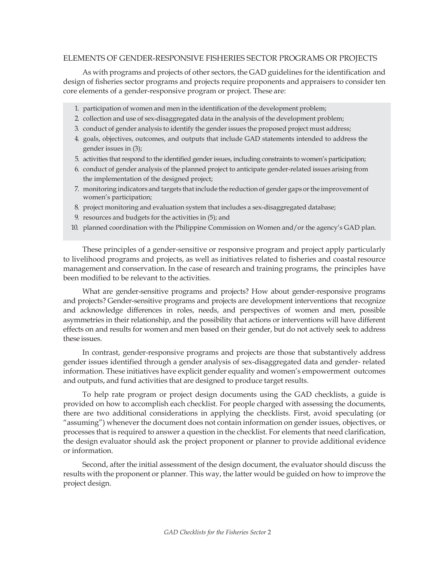#### ELEMENTS OF GENDER-RESPONSIVE FISHERIES SECTOR PROGRAMS OR PROJECTS

As with programs and projects of other sectors, the GAD guidelines forthe identification and design of fisheries sector programs and projects require proponents and appraisers to consider ten core elements of a gender-responsive program or project. These are:

- 1. participation of women and men in the identification of the development problem;
- 2. collection and use of sex-disaggregated data in the analysis of the development problem;
- 3. conduct of gender analysis to identify the gender issues the proposed project must address;
- 4. goals, objectives, outcomes, and outputs that include GAD statements intended to address the gender issues in (3);
- 5. activities that respond to the identified gender issues, including constraints to women's participation;
- 6. conduct of gender analysis of the planned project to anticipate gender-related issues arising from the implementation of the designed project;
- 7. monitoring indicators and targets that include the reduction of gender gaps orthe improvement of women's participation;
- 8. project monitoring and evaluation system that includes a sex-disaggregated database;
- 9. resources and budgets for the activities in (5); and
- 10. planned coordination with the Philippine Commission on Women and/or the agency's GAD plan.

These principles of a gender-sensitive or responsive program and project apply particularly to livelihood programs and projects, as well as initiatives related to fisheries and coastal resource management and conservation. In the case of research and training programs, the principles have been modified to be relevant to the activities.

What are gender-sensitive programs and projects? How about gender-responsive programs and projects? Gender-sensitive programs and projects are development interventions that recognize and acknowledge differences in roles, needs, and perspectives of women and men, possible asymmetries in their relationship, and the possibility that actions or interventions will have different effects on and results for women and men based on their gender, but do not actively seek to address these issues.

In contrast, gender-responsive programs and projects are those that substantively address gender issues identified through a gender analysis of sex-disaggregated data and gender- related information. These initiatives have explicit gender equality and women's empowerment outcomes and outputs, and fund activities that are designed to produce target results.

To help rate program or project design documents using the GAD checklists, a guide is provided on how to accomplish each checklist. For people charged with assessing the documents, there are two additional considerations in applying the checklists. First, avoid speculating (or "assuming") whenever the document does not contain information on gender issues, objectives, or processes that is required to answer a question in the checklist. For elements that need clarification, the design evaluator should ask the project proponent or planner to provide additional evidence or information.

Second, after the initial assessment of the design document, the evaluator should discuss the results with the proponent or planner. This way, the latter would be guided on how to improve the project design.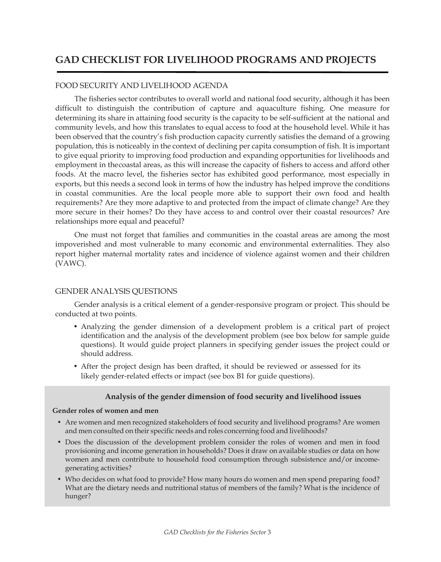# **GAD CHECKLIST FOR LIVELIHOOD PROGRAMS AND PROJECTS**

#### FOOD SECURITY AND LIVELIHOOD AGENDA

The fisheries sector contributes to overall world and national food security, although it has been difficult to distinguish the contribution of capture and aquaculture fishing. One measure for determining its share in attaining food security is the capacity to be self-sufficient at the national and community levels, and how this translates to equal access to food at the household level. While it has been observed that the country's fish production capacity currently satisfies the demand of a growing population, this is noticeably in the context of declining per capita consumption of fish. It is important to give equal priority to improving food production and expanding opportunities for livelihoods and employment in thecoastal areas, as this will increase the capacity of fishers to access and afford other foods. At the macro level, the fisheries sector has exhibited good performance, most especially in exports, but this needs a second look in terms of how the industry has helped improve the conditions in coastal communities. Are the local people more able to support their own food and health requirements? Are they more adaptive to and protected from the impact of climate change? Are they more secure in their homes? Do they have access to and control over their coastal resources? Are relationships more equal and peaceful?

One must not forget that families and communities in the coastal areas are among the most impoverished and most vulnerable to many economic and environmental externalities. They also report higher maternal mortality rates and incidence of violence against women and their children (VAWC).

#### GENDER ANALYSIS QUESTIONS

Gender analysis is a critical element of a gender-responsive program or project. This should be conducted at two points.

- Analyzing the gender dimension of a development problem is a critical part of project identification and the analysis of the development problem (see box below for sample guide questions). It would guide project planners in specifying gender issues the project could or should address.
- After the project design has been drafted, it should be reviewed or assessed for its likely gender-related effects or impact (see box B1 for guide questions).

#### **Analysis of the gender dimension of food security and livelihood issues**

#### **Gender roles of women and men**

- Are women and men recognized stakeholders of food security and livelihood programs? Are women and men consulted on their specific needs and roles concerning food and livelihoods?
- Does the discussion of the development problem consider the roles of women and men in food provisioning and income generation in households? Does it draw on available studies or data on how women and men contribute to household food consumption through subsistence and/or incomegenerating activities?
- Who decides on what food to provide? How many hours do women and men spend preparing food? What are the dietary needs and nutritional status of members of the family? What is the incidence of hunger?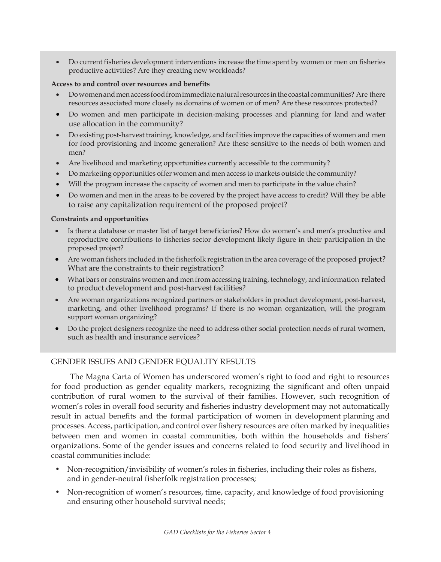• Do current fisheries development interventions increase the time spent by women or men on fisheries productive activities? Are they creating new workloads?

#### **Access to and control over resources and benefits**

- Dowomen and men access food from immediate natural resources in the coastal communities? Are there resources associated more closely as domains of women or of men? Are these resources protected?
- Do women and men participate in decision-making processes and planning for land and water use allocation in the community?
- Do existing post-harvest training, knowledge, and facilities improve the capacities of women and men for food provisioning and income generation? Are these sensitive to the needs of both women and men?
- Are livelihood and marketing opportunities currently accessible to the community?
- Do marketing opportunities offer women and men access to markets outside the community?
- Will the program increase the capacity of women and men to participate in the value chain?
- Do women and men in the areas to be covered by the project have access to credit? Will they be able to raise any capitalization requirement of the proposed project?

#### **Constraints and opportunities**

- Is there a database or master list of target beneficiaries? How do women's and men's productive and reproductive contributions to fisheries sector development likely figure in their participation in the proposed project?
- Are woman fishers included in the fisherfolk registration in the area coverage of the proposed project? What are the constraints to their registration?
- What bars or constrains women and men from accessing training, technology, and information related to product development and post-harvest facilities?
- Are woman organizations recognized partners or stakeholders in product development, post-harvest, marketing, and other livelihood programs? If there is no woman organization, will the program support woman organizing?
- Do the project designers recognize the need to address other social protection needs ofrural women, such as health and insurance services?

# GENDER ISSUES AND GENDER EQUALITY RESULTS

The Magna Carta of Women has underscored women's right to food and right to resources for food production as gender equality markers, recognizing the significant and often unpaid contribution of rural women to the survival of their families. However, such recognition of women's roles in overall food security and fisheries industry development may not automatically result in actual benefits and the formal participation of women in development planning and processes. Access, participation, and control over fishery resources are often marked by inequalities between men and women in coastal communities, both within the households and fishers' organizations. Some of the gender issues and concerns related to food security and livelihood in coastal communities include:

- Non-recognition/invisibility of women's roles in fisheries, including their roles as fishers, and in gender-neutral fisherfolk registration processes;
- Non-recognition of women's resources, time, capacity, and knowledge of food provisioning and ensuring other household survival needs;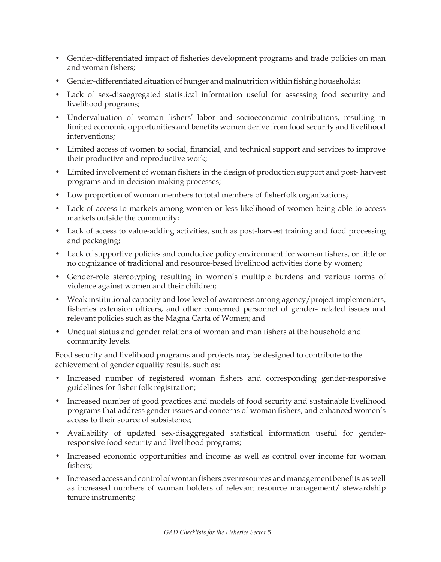- Gender-differentiated impact of fisheries development programs and trade policies on man and woman fishers;
- Gender-differentiated situation of hunger and malnutrition within fishing households;
- Lack of sex-disaggregated statistical information useful for assessing food security and livelihood programs;
- Undervaluation of woman fishers' labor and socioeconomic contributions, resulting in limited economic opportunities and benefits women derive from food security and livelihood interventions;
- Limited access of women to social, financial, and technical support and services to improve their productive and reproductive work;
- Limited involvement of woman fishers in the design of production support and post- harvest programs and in decision-making processes;
- Low proportion of woman members to total members of fisherfolk organizations;
- Lack of access to markets among women or less likelihood of women being able to access markets outside the community;
- Lack of access to value-adding activities, such as post-harvest training and food processing and packaging;
- Lack of supportive policies and conducive policy environment for woman fishers, or little or no cognizance of traditional and resource-based livelihood activities done by women;
- Gender-role stereotyping resulting in women's multiple burdens and various forms of violence against women and their children;
- Weak institutional capacity and low level of awareness among agency/project implementers, fisheries extension officers, and other concerned personnel of gender- related issues and relevant policies such as the Magna Carta of Women; and
- Unequal status and gender relations of woman and man fishers at the household and community levels.

Food security and livelihood programs and projects may be designed to contribute to the achievement of gender equality results, such as:

- Increased number of registered woman fishers and corresponding gender-responsive guidelines for fisher folk registration;
- Increased number of good practices and models of food security and sustainable livelihood programs that address gender issues and concerns of woman fishers, and enhanced women's access to their source of subsistence;
- Availability of updated sex-disaggregated statistical information useful for genderresponsive food security and livelihood programs;
- Increased economic opportunities and income as well as control over income for woman fishers;
- Increased access and control of woman fishers over resources and management benefits as well as increased numbers of woman holders of relevant resource management/ stewardship tenure instruments;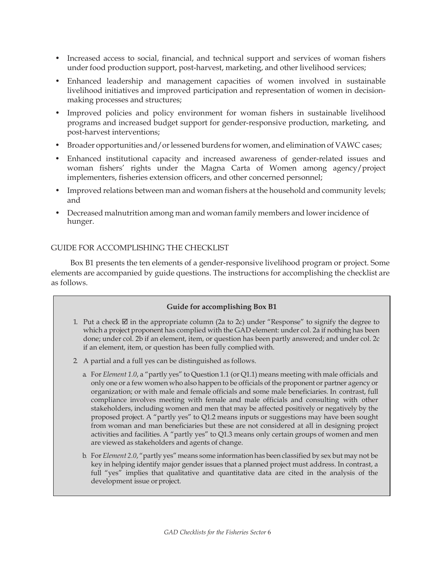- Increased access to social, financial, and technical support and services of woman fishers under food production support, post-harvest, marketing, and other livelihood services;
- Enhanced leadership and management capacities of women involved in sustainable livelihood initiatives and improved participation and representation of women in decisionmaking processes and structures;
- Improved policies and policy environment for woman fishers in sustainable livelihood programs and increased budget support for gender-responsive production, marketing, and post-harvest interventions;
- Broader opportunities and/or lessened burdens for women, and elimination of VAWC cases;
- Enhanced institutional capacity and increased awareness of gender-related issues and woman fishers' rights under the Magna Carta of Women among agency/project implementers, fisheries extension officers, and other concerned personnel;
- Improved relations between man and woman fishers at the household and community levels; and
- Decreased malnutrition among man and woman family members and lower incidence of hunger.

# GUIDE FOR ACCOMPLISHING THE CHECKLIST

Box B1 presents the ten elements of a gender-responsive livelihood program or project. Some elements are accompanied by guide questions. The instructions for accomplishing the checklist are as follows.

# **Guide for accomplishing Box B1**

- 1. Put a check  $\boxtimes$  in the appropriate column (2a to 2c) under "Response" to signify the degree to which a project proponent has complied with the GAD element: under col. 2a if nothing has been done; under col. 2b if an element, item, or question has been partly answered; and under col. 2c if an element, item, or question has been fully complied with.
- 2. A partial and a full yes can be distinguished as follows.
	- a. For *Element 1.0*, a "partly yes" to Question 1.1 (or Q1.1) means meeting with male officials and only one or a few women who also happen to be officials of the proponent or partner agency or organization; or with male and female officials and some male beneficiaries. In contrast, full compliance involves meeting with female and male officials and consulting with other stakeholders, including women and men that may be affected positively or negatively by the proposed project. A "partly yes" to Q1.2 means inputs or suggestions may have been sought from woman and man beneficiaries but these are not considered at all in designing project activities and facilities. A "partly yes" to Q1.3 means only certain groups of women and men are viewed as stakeholders and agents of change.
	- b. For *Element 2.0*, "partly yes" means some information has been classified by sex but may not be key in helping identify major gender issues that a planned project must address. In contrast, a full "yes" implies that qualitative and quantitative data are cited in the analysis of the development issue or project.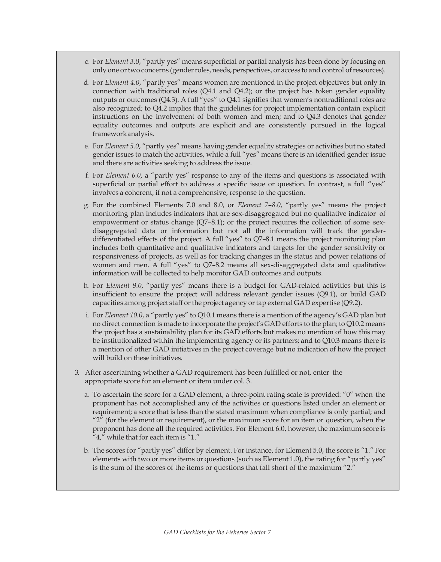- c. For *Element 3.0*, "partly yes" means superficial or partial analysis has been done by focusing on only one or two concerns (gender roles, needs, perspectives, or access to and control of resources).
- d. For *Element 4.0*, "partly yes" means women are mentioned in the project objectives but only in connection with traditional roles  $(Q4.1 \text{ and } Q4.2)$ ; or the project has token gender equality outputs or outcomes (Q4.3). A full "yes" to Q4.1 signifies that women's nontraditional roles are also recognized; to Q4.2 implies that the guidelines for project implementation contain explicit instructions on the involvement of both women and men; and to Q4.3 denotes that gender equality outcomes and outputs are explicit and are consistently pursued in the logical frameworkanalysis.
- e. For *Element 5.0*, "partly yes" means having gender equality strategies or activities but no stated gender issues to match the activities, while a full "yes" means there is an identified gender issue and there are activities seeking to address the issue.
- f. For *Element 6.0*, a "partly yes" response to any of the items and questions is associated with superficial or partial effort to address a specific issue or question. In contrast, a full "yes" involves a coherent, if not a comprehensive, response to the question.
- g. For the combined Elements 7.0 and 8.0, or *Element 7–8.0*, "partly yes" means the project monitoring plan includes indicators that are sex-disaggregated but no qualitative indicator of empowerment or status change (Q7*–*8.1); or the project requires the collection of some sexdisaggregated data or information but not all the information will track the genderdifferentiated effects of the project. A full "yes" to Q7*–*8.1 means the project monitoring plan includes both quantitative and qualitative indicators and targets for the gender sensitivity or responsiveness of projects, as well as for tracking changes in the status and power relations of women and men. A full "yes" to Q7–8.2 means all sex-disaggregated data and qualitative information will be collected to help monitor GAD outcomes and outputs.
- h. For *Element 9.0*, "partly yes" means there is a budget for GAD-related activities but this is insufficient to ensure the project will address relevant gender issues (Q9.1), or build GAD capacities among project staff or the project agency or tap external GAD expertise (Q9.2).
- i. For *Element 10.0*, a "partly yes" to Q10.1 means there is a mention of the agency's GAD plan but no direct connection is made to incorporate the project's GAD efforts to the plan; to Q10.2 means the project has a sustainability plan for its GAD efforts but makes no mention of how this may be institutionalized within the implementing agency or its partners; and to Q10.3 means there is a mention of other GAD initiatives in the project coverage but no indication of how the project will build on these initiatives.
- 3. After ascertaining whether a GAD requirement has been fulfilled or not, enter the appropriate score for an element or item under col. 3.
	- a. To ascertain the score for a GAD element, a three-point rating scale is provided: "0" when the proponent has not accomplished any of the activities or questions listed under an element or requirement; a score that is less than the stated maximum when compliance is only partial; and " $2$ " (for the element or requirement), or the maximum score for an item or question, when the proponent has done all the required activities. For Element 6.0, however, the maximum score is "4," while that for each item is "1."
	- b. The scores for "partly yes" differ by element. For instance, for Element 5.0, the score is "1." For elements with two or more items or questions (such as Element 1.0), the rating for "partly yes" is the sum of the scores of the items or questions that fall short of the maximum "2."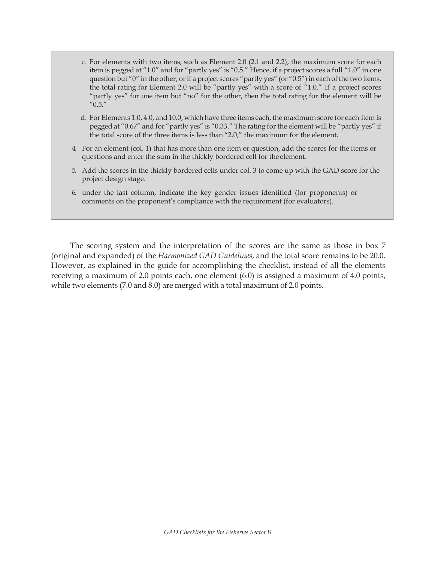- c. For elements with two items, such as Element 2.0 (2.1 and 2.2), the maximum score for each item is pegged at "1.0" and for "partly yes" is "0.5." Hence, if a project scores a full "1.0" in one question but "0" in the other, or if a project scores "partly yes" (or "0.5") in each of the two items, the total rating for Element 2.0 will be "partly yes" with a score of "1.0." If a project scores "partly yes" for one item but "no" for the other, then the total rating for the element will be  $^{\prime\prime}$ 0.5. $^{\prime\prime}$
- d. For Elements 1.0, 4.0, and 10.0, which have three items each, the maximum score for each item is pegged at "0.67" and for "partly yes" is "0.33." The rating for the element will be "partly yes" if the total score of the three items is less than "2.0," the maximum for the element.
- 4. For an element (col. 1) that has more than one item or question, add the scores for the items or questions and enter the sum in the thickly bordered cell for the element.
- 5. Add the scores in the thickly bordered cells under col. 3 to come up with the GAD score for the project design stage.
- 6. under the last column, indicate the key gender issues identified (for proponents) or comments on the proponent's compliance with the requirement (for evaluators).

The scoring system and the interpretation of the scores are the same as those in box 7 (original and expanded) of the *Harmonized GAD Guidelines*, and the total score remains to be 20.0. However, as explained in the guide for accomplishing the checklist, instead of all the elements receiving a maximum of 2.0 points each, one element (6.0) is assigned a maximum of 4.0 points, while two elements (7.0 and 8.0) are merged with a total maximum of 2.0 points.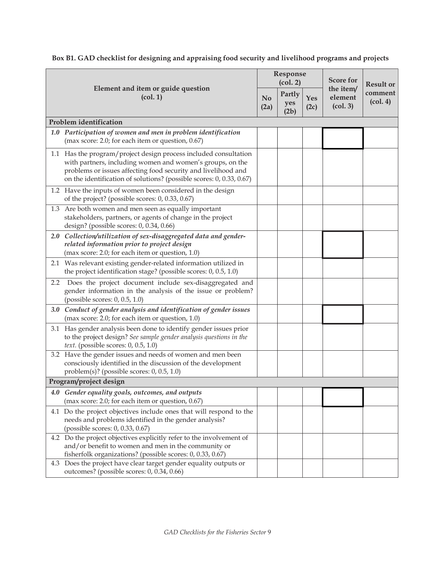|     |                                                                                                                                                                                                                                                                        |  | Response<br>(col. 2)  |             | <b>Score for</b>                                        | <b>Result or</b>                        |
|-----|------------------------------------------------------------------------------------------------------------------------------------------------------------------------------------------------------------------------------------------------------------------------|--|-----------------------|-------------|---------------------------------------------------------|-----------------------------------------|
|     | Element and item or guide question<br>(col. 1)<br>N <sub>0</sub><br>(2a)                                                                                                                                                                                               |  | Partly<br>yes<br>(2b) | Yes<br>(2c) | the item/<br>element<br>$\left( \text{col. } 3 \right)$ | comment<br>$\left(\text{col. }4\right)$ |
|     | Problem identification                                                                                                                                                                                                                                                 |  |                       |             |                                                         |                                         |
|     | 1.0 Participation of women and men in problem identification<br>(max score: 2.0; for each item or question, $0.67$ )                                                                                                                                                   |  |                       |             |                                                         |                                         |
|     | 1.1 Has the program/project design process included consultation<br>with partners, including women and women's groups, on the<br>problems or issues affecting food security and livelihood and<br>on the identification of solutions? (possible scores: 0, 0.33, 0.67) |  |                       |             |                                                         |                                         |
|     | 1.2 Have the inputs of women been considered in the design<br>of the project? (possible scores: 0, 0.33, 0.67)                                                                                                                                                         |  |                       |             |                                                         |                                         |
|     | 1.3 Are both women and men seen as equally important<br>stakeholders, partners, or agents of change in the project<br>design? (possible scores: 0, 0.34, 0.66)                                                                                                         |  |                       |             |                                                         |                                         |
|     | 2.0 Collection/utilization of sex-disaggregated data and gender-<br>related information prior to project design<br>(max score: 2.0; for each item or question, 1.0)                                                                                                    |  |                       |             |                                                         |                                         |
|     | 2.1 Was relevant existing gender-related information utilized in<br>the project identification stage? (possible scores: $0$ , $0.5$ , $1.0$ )                                                                                                                          |  |                       |             |                                                         |                                         |
| 2.2 | Does the project document include sex-disaggregated and<br>gender information in the analysis of the issue or problem?<br>(possible scores: 0, 0.5, 1.0)                                                                                                               |  |                       |             |                                                         |                                         |
|     | 3.0 Conduct of gender analysis and identification of gender issues<br>(max score: 2.0; for each item or question, 1.0)                                                                                                                                                 |  |                       |             |                                                         |                                         |
|     | 3.1 Has gender analysis been done to identify gender issues prior<br>to the project design? See sample gender analysis questions in the<br>text. (possible scores: 0, 0.5, 1.0)                                                                                        |  |                       |             |                                                         |                                         |
|     | 3.2 Have the gender issues and needs of women and men been<br>consciously identified in the discussion of the development<br>problem(s)? (possible scores: $0$ , $0.5$ , $1.0$ )                                                                                       |  |                       |             |                                                         |                                         |
|     | Program/project design                                                                                                                                                                                                                                                 |  |                       |             |                                                         |                                         |
|     | 4.0 Gender equality goals, outcomes, and outputs<br>(max score: 2.0; for each item or question, 0.67)                                                                                                                                                                  |  |                       |             |                                                         |                                         |
|     | 4.1 Do the project objectives include ones that will respond to the<br>needs and problems identified in the gender analysis?<br>(possible scores: 0, 0.33, 0.67)                                                                                                       |  |                       |             |                                                         |                                         |
|     | 4.2 Do the project objectives explicitly refer to the involvement of<br>and/or benefit to women and men in the community or<br>fisherfolk organizations? (possible scores: 0, 0.33, 0.67)                                                                              |  |                       |             |                                                         |                                         |
|     | 4.3 Does the project have clear target gender equality outputs or<br>outcomes? (possible scores: 0, 0.34, 0.66)                                                                                                                                                        |  |                       |             |                                                         |                                         |

**Box B1. GAD checklist for designing and appraising food security and livelihood programs and projects**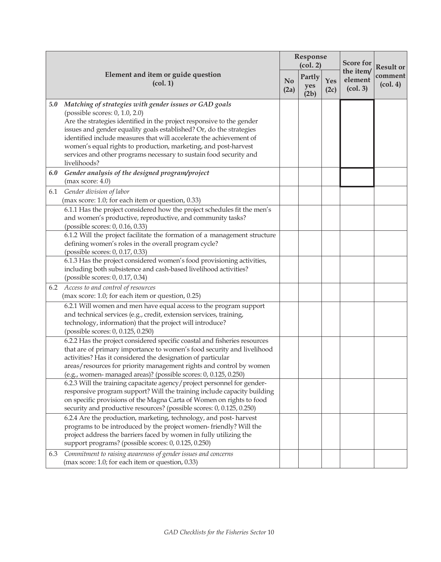|     |                                                                                                                                                                                                                                                                                                                                                                                                                                                                          | Response<br>(col. 2) |                       | <b>Score for</b> | <b>Result or</b>                                        |                                         |
|-----|--------------------------------------------------------------------------------------------------------------------------------------------------------------------------------------------------------------------------------------------------------------------------------------------------------------------------------------------------------------------------------------------------------------------------------------------------------------------------|----------------------|-----------------------|------------------|---------------------------------------------------------|-----------------------------------------|
|     | Element and item or guide question<br>$\left( \text{col. 1} \right)$                                                                                                                                                                                                                                                                                                                                                                                                     |                      | Partly<br>yes<br>(2b) | Yes<br>(2c)      | the item/<br>element<br>$\left( \text{col. } 3 \right)$ | comment<br>$\left(\text{col. }4\right)$ |
| 5.0 | Matching of strategies with gender issues or GAD goals<br>(possible scores: 0, 1.0, 2.0)<br>Are the strategies identified in the project responsive to the gender<br>issues and gender equality goals established? Or, do the strategies<br>identified include measures that will accelerate the achievement of<br>women's equal rights to production, marketing, and post-harvest<br>services and other programs necessary to sustain food security and<br>livelihoods? |                      |                       |                  |                                                         |                                         |
| 6.0 | Gender analysis of the designed program/project<br>(max score: 4.0)                                                                                                                                                                                                                                                                                                                                                                                                      |                      |                       |                  |                                                         |                                         |
| 6.1 | Gender division of labor<br>(max score: 1.0; for each item or question, 0.33)                                                                                                                                                                                                                                                                                                                                                                                            |                      |                       |                  |                                                         |                                         |
|     | 6.1.1 Has the project considered how the project schedules fit the men's<br>and women's productive, reproductive, and community tasks?<br>(possible scores: 0, 0.16, 0.33)                                                                                                                                                                                                                                                                                               |                      |                       |                  |                                                         |                                         |
|     | 6.1.2 Will the project facilitate the formation of a management structure<br>defining women's roles in the overall program cycle?<br>(possible scores: 0, 0.17, 0.33)                                                                                                                                                                                                                                                                                                    |                      |                       |                  |                                                         |                                         |
|     | 6.1.3 Has the project considered women's food provisioning activities,<br>including both subsistence and cash-based livelihood activities?<br>(possible scores: 0, 0.17, 0.34)                                                                                                                                                                                                                                                                                           |                      |                       |                  |                                                         |                                         |
| 6.2 | Access to and control of resources<br>(max score: 1.0; for each item or question, 0.25)                                                                                                                                                                                                                                                                                                                                                                                  |                      |                       |                  |                                                         |                                         |
|     | 6.2.1 Will women and men have equal access to the program support<br>and technical services (e.g., credit, extension services, training,<br>technology, information) that the project will introduce?<br>(possible scores: 0, 0.125, 0.250)                                                                                                                                                                                                                              |                      |                       |                  |                                                         |                                         |
|     | 6.2.2 Has the project considered specific coastal and fisheries resources<br>that are of primary importance to women's food security and livelihood<br>activities? Has it considered the designation of particular<br>areas/resources for priority management rights and control by women<br>(e.g., women-managed areas)? (possible scores: 0, 0.125, 0.250)                                                                                                             |                      |                       |                  |                                                         |                                         |
|     | 6.2.3 Will the training capacitate agency/project personnel for gender-<br>responsive program support? Will the training include capacity building<br>on specific provisions of the Magna Carta of Women on rights to food<br>security and productive resources? (possible scores: 0, 0.125, 0.250)                                                                                                                                                                      |                      |                       |                  |                                                         |                                         |
|     | 6.2.4 Are the production, marketing, technology, and post-harvest<br>programs to be introduced by the project women-friendly? Will the<br>project address the barriers faced by women in fully utilizing the<br>support programs? (possible scores: 0, 0.125, 0.250)                                                                                                                                                                                                     |                      |                       |                  |                                                         |                                         |
| 6.3 | Commitment to raising awareness of gender issues and concerns<br>(max score: 1.0; for each item or question, 0.33)                                                                                                                                                                                                                                                                                                                                                       |                      |                       |                  |                                                         |                                         |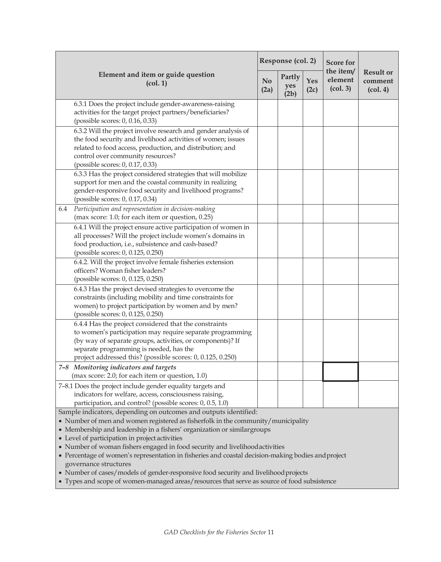|                                                                                                                                                                                                                                                                                                                                                                                                                                                                                                   | Response (col. 2)      |                                      | <b>Score for</b> |                                                         |                                                             |
|---------------------------------------------------------------------------------------------------------------------------------------------------------------------------------------------------------------------------------------------------------------------------------------------------------------------------------------------------------------------------------------------------------------------------------------------------------------------------------------------------|------------------------|--------------------------------------|------------------|---------------------------------------------------------|-------------------------------------------------------------|
| Element and item or guide question<br>$\left( \text{col. 1} \right)$                                                                                                                                                                                                                                                                                                                                                                                                                              | N <sub>o</sub><br>(2a) | Partly<br>Yes<br>yes<br>(2c)<br>(2b) |                  | the item/<br>element<br>$\left( \text{col. } 3 \right)$ | <b>Result or</b><br>comment<br>$\left(\text{col. }4\right)$ |
| 6.3.1 Does the project include gender-awareness-raising<br>activities for the target project partners/beneficiaries?<br>(possible scores: 0, 0.16, 0.33)                                                                                                                                                                                                                                                                                                                                          |                        |                                      |                  |                                                         |                                                             |
| 6.3.2 Will the project involve research and gender analysis of<br>the food security and livelihood activities of women; issues<br>related to food access, production, and distribution; and<br>control over community resources?<br>(possible scores: 0, 0.17, 0.33)                                                                                                                                                                                                                              |                        |                                      |                  |                                                         |                                                             |
| 6.3.3 Has the project considered strategies that will mobilize<br>support for men and the coastal community in realizing<br>gender-responsive food security and livelihood programs?<br>(possible scores: 0, 0.17, 0.34)                                                                                                                                                                                                                                                                          |                        |                                      |                  |                                                         |                                                             |
| Participation and representation in decision-making<br>6.4<br>(max score: 1.0; for each item or question, 0.25)                                                                                                                                                                                                                                                                                                                                                                                   |                        |                                      |                  |                                                         |                                                             |
| 6.4.1 Will the project ensure active participation of women in<br>all processes? Will the project include women's domains in<br>food production, i.e., subsistence and cash-based?<br>(possible scores: 0, 0.125, 0.250)                                                                                                                                                                                                                                                                          |                        |                                      |                  |                                                         |                                                             |
| 6.4.2. Will the project involve female fisheries extension<br>officers? Woman fisher leaders?<br>(possible scores: 0, 0.125, 0.250)                                                                                                                                                                                                                                                                                                                                                               |                        |                                      |                  |                                                         |                                                             |
| 6.4.3 Has the project devised strategies to overcome the<br>constraints (including mobility and time constraints for<br>women) to project participation by women and by men?<br>(possible scores: 0, 0.125, 0.250)                                                                                                                                                                                                                                                                                |                        |                                      |                  |                                                         |                                                             |
| 6.4.4 Has the project considered that the constraints<br>to women's participation may require separate programming<br>(by way of separate groups, activities, or components)? If<br>separate programming is needed, has the<br>project addressed this? (possible scores: 0, 0.125, 0.250)                                                                                                                                                                                                         |                        |                                      |                  |                                                         |                                                             |
| 7-8 Monitoring indicators and targets<br>(max score: 2.0; for each item or question, 1.0)                                                                                                                                                                                                                                                                                                                                                                                                         |                        |                                      |                  |                                                         |                                                             |
| 7-8.1 Does the project include gender equality targets and<br>indicators for welfare, access, consciousness raising,<br>participation, and control? (possible scores: 0, 0.5, 1.0)                                                                                                                                                                                                                                                                                                                |                        |                                      |                  |                                                         |                                                             |
| Sample indicators, depending on outcomes and outputs identified:<br>• Number of men and women registered as fisherfolk in the community/municipality<br>• Membership and leadership in a fishers' organization or similar groups<br>• Level of participation in project activities<br>• Number of woman fishers engaged in food security and livelihood activities<br>• Percentage of women's representation in fisheries and coastal decision-making bodies and project<br>governance structures |                        |                                      |                  |                                                         |                                                             |

• Number of cases/models of gender-responsive food security and livelihoodprojects

• Types and scope of women-managed areas/resources that serve as source of food subsistence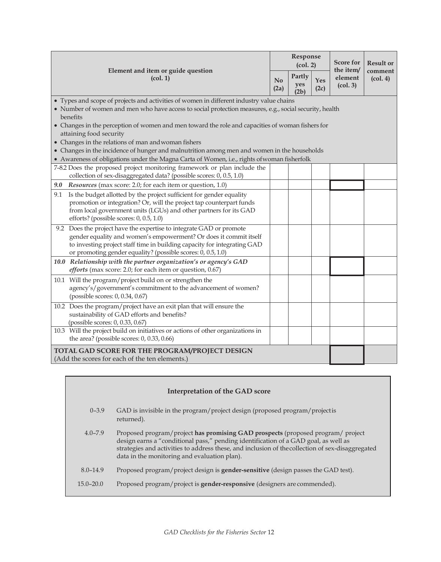| Element and item or guide question<br>(col. 1)<br>(2a)                                                                                                                                                                                                                               |  | Response<br>(col. 2)  |             | <b>Score for</b><br>the item/              | <b>Result or</b>                         |
|--------------------------------------------------------------------------------------------------------------------------------------------------------------------------------------------------------------------------------------------------------------------------------------|--|-----------------------|-------------|--------------------------------------------|------------------------------------------|
|                                                                                                                                                                                                                                                                                      |  | Partly<br>yes<br>(2b) | Yes<br>(2c) | element<br>$\left( \text{col. } 3 \right)$ | comment<br>$\left(\text{col. } 4\right)$ |
| • Types and scope of projects and activities of women in different industry value chains<br>• Number of women and men who have access to social protection measures, e.g., social security, health                                                                                   |  |                       |             |                                            |                                          |
| benefits<br>• Changes in the perception of women and men toward the role and capacities of woman fishers for<br>attaining food security                                                                                                                                              |  |                       |             |                                            |                                          |
| • Changes in the relations of man and woman fishers                                                                                                                                                                                                                                  |  |                       |             |                                            |                                          |
| • Changes in the incidence of hunger and malnutrition among men and women in the households<br>• Awareness of obligations under the Magna Carta of Women, i.e., rights of woman fisherfolk                                                                                           |  |                       |             |                                            |                                          |
| 7-8.2 Does the proposed project monitoring framework or plan include the<br>collection of sex-disaggregated data? (possible scores: 0, 0.5, 1.0)                                                                                                                                     |  |                       |             |                                            |                                          |
| Resources (max score: 2.0; for each item or question, 1.0)<br>9.0                                                                                                                                                                                                                    |  |                       |             |                                            |                                          |
| Is the budget allotted by the project sufficient for gender equality<br>9.1<br>promotion or integration? Or, will the project tap counterpart funds<br>from local government units (LGUs) and other partners for its GAD<br>efforts? (possible scores: 0, 0.5, 1.0)                  |  |                       |             |                                            |                                          |
| 9.2 Does the project have the expertise to integrate GAD or promote<br>gender equality and women's empowerment? Or does it commit itself<br>to investing project staff time in building capacity for integrating GAD<br>or promoting gender equality? (possible scores: 0, 0.5, 1.0) |  |                       |             |                                            |                                          |
| 10.0 Relationship with the partner organization's or agency's GAD<br>efforts (max score: 2.0; for each item or question, 0.67)                                                                                                                                                       |  |                       |             |                                            |                                          |
| 10.1 Will the program/project build on or strengthen the<br>agency's/government's commitment to the advancement of women?<br>(possible scores: 0, 0.34, 0.67)                                                                                                                        |  |                       |             |                                            |                                          |
| 10.2 Does the program/project have an exit plan that will ensure the<br>sustainability of GAD efforts and benefits?<br>(possible scores: 0, 0.33, 0.67)                                                                                                                              |  |                       |             |                                            |                                          |
| 10.3 Will the project build on initiatives or actions of other organizations in<br>the area? (possible scores: $0$ , $0.33$ , $0.66$ )                                                                                                                                               |  |                       |             |                                            |                                          |
| TOTAL GAD SCORE FOR THE PROGRAM/PROJECT DESIGN<br>(Add the scores for each of the ten elements.)                                                                                                                                                                                     |  |                       |             |                                            |                                          |

| Interpretation of the GAD score |                                                                                                                                                                                                                                                                                                                           |  |  |  |  |  |  |  |
|---------------------------------|---------------------------------------------------------------------------------------------------------------------------------------------------------------------------------------------------------------------------------------------------------------------------------------------------------------------------|--|--|--|--|--|--|--|
| $0 - 3.9$                       | GAD is invisible in the program/project design (proposed program/project is<br>returned).                                                                                                                                                                                                                                 |  |  |  |  |  |  |  |
| $4.0 - 7.9$                     | Proposed program/project has promising GAD prospects (proposed program/project<br>design earns a "conditional pass," pending identification of a GAD goal, as well as<br>strategies and activities to address these, and inclusion of the collection of sex-disaggregated<br>data in the monitoring and evaluation plan). |  |  |  |  |  |  |  |
| $8.0 - 14.9$                    | Proposed program/project design is gender-sensitive (design passes the GAD test).                                                                                                                                                                                                                                         |  |  |  |  |  |  |  |
| $15.0 - 20.0$                   | Proposed program/project is gender-responsive (designers are commended).                                                                                                                                                                                                                                                  |  |  |  |  |  |  |  |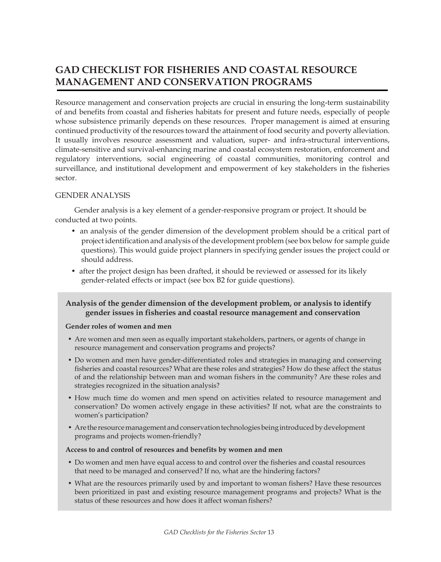# **GAD CHECKLIST FOR FISHERIES AND COASTAL RESOURCE MANAGEMENT AND CONSERVATION PROGRAMS**

Resource management and conservation projects are crucial in ensuring the long-term sustainability of and benefits from coastal and fisheries habitats for present and future needs, especially of people whose subsistence primarily depends on these resources. Proper management is aimed at ensuring continued productivity of the resources toward the attainment of food security and poverty alleviation. It usually involves resource assessment and valuation, super- and infra-structural interventions, climate-sensitive and survival-enhancing marine and coastal ecosystem restoration, enforcement and regulatory interventions, social engineering of coastal communities, monitoring control and surveillance, and institutional development and empowerment of key stakeholders in the fisheries sector.

## GENDER ANALYSIS

Gender analysis is a key element of a gender-responsive program or project. It should be conducted at two points.

- an analysis of the gender dimension of the development problem should be a critical part of project identification and analysis of the development problem (see box below for sample guide questions). This would guide project planners in specifying gender issues the project could or should address.
- after the project design has been drafted, it should be reviewed or assessed for its likely gender-related effects or impact (see box B2 for guide questions).

# **Analysis of the gender dimension of the development problem, or analysis to identify gender issues in fisheries and coastal resource management and conservation**

#### **Gender roles of women and men**

- Are women and men seen as equally important stakeholders, partners, or agents of change in resource management and conservation programs and projects?
- Do women and men have gender-differentiated roles and strategies in managing and conserving fisheries and coastal resources? What are these roles and strategies? How do these affect the status of and the relationship between man and woman fishers in the community? Are these roles and strategies recognized in the situation analysis?
- How much time do women and men spend on activities related to resource management and conservation? Do women actively engage in these activities? If not, what are the constraints to women's participation?
- Are the resource management and conservation technologies being introduced by development programs and projects women-friendly?

#### **Access to and control of resources and benefits by women and men**

- Do women and men have equal access to and control over the fisheries and coastal resources that need to be managed and conserved? If no, what are the hindering factors?
- What are the resources primarily used by and important to woman fishers? Have these resources been prioritized in past and existing resource management programs and projects? What is the status of these resources and how does it affect woman fishers?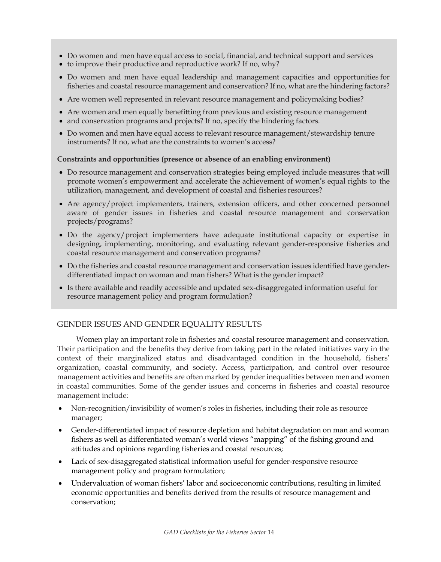- Do women and men have equal access to social, financial, and technical support and services
- to improve their productive and reproductive work? If no, why?
- Do women and men have equal leadership and management capacities and opportunities for fisheries and coastal resource management and conservation? If no, what are the hindering factors?
- Are women well represented in relevant resource management and policymaking bodies?
- Are women and men equally benefitting from previous and existing resource management
- and conservation programs and projects? If no, specify the hindering factors.
- Do women and men have equal access to relevant resource management/stewardship tenure instruments? If no, what are the constraints to women's access?

#### **Constraints and opportunities (presence or absence of an enabling environment)**

- Do resource management and conservation strategies being employed include measures that will promote women's empowerment and accelerate the achievement of women's equal rights to the utilization, management, and development of coastal and fisheries resources?
- Are agency/project implementers, trainers, extension officers, and other concerned personnel aware of gender issues in fisheries and coastal resource management and conservation projects/programs?
- Do the agency/project implementers have adequate institutional capacity or expertise in designing, implementing, monitoring, and evaluating relevant gender-responsive fisheries and coastal resource management and conservation programs?
- Do the fisheries and coastal resource management and conservation issues identified have genderdifferentiated impact on woman and man fishers? What is the gender impact?
- Is there available and readily accessible and updated sex-disaggregated information useful for resource management policy and program formulation?

# GENDER ISSUES AND GENDER EQUALITY RESULTS

Women play an important role in fisheries and coastal resource management and conservation. Their participation and the benefits they derive from taking part in the related initiatives vary in the context of their marginalized status and disadvantaged condition in the household, fishers' organization, coastal community, and society. Access, participation, and control over resource management activities and benefits are often marked by gender inequalities between men and women in coastal communities. Some of the gender issues and concerns in fisheries and coastal resource management include:

- Non-recognition/invisibility of women's roles in fisheries, including their role as resource manager;
- Gender-differentiated impact of resource depletion and habitat degradation on man and woman fishers as well as differentiated woman's world views "mapping" of the fishing ground and attitudes and opinions regarding fisheries and coastal resources;
- Lack of sex-disaggregated statistical information useful for gender-responsive resource management policy and program formulation;
- Undervaluation of woman fishers' labor and socioeconomic contributions, resulting in limited economic opportunities and benefits derived from the results of resource management and conservation;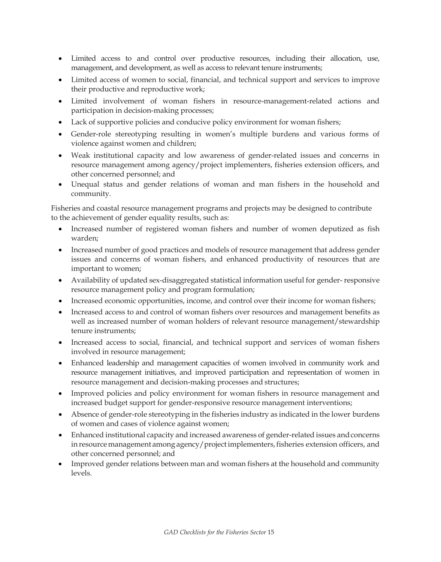- Limited access to and control over productive resources, including their allocation, use, management, and development, as well as access to relevant tenure instruments;
- Limited access of women to social, financial, and technical support and services to improve their productive and reproductive work;
- Limited involvement of woman fishers in resource-management-related actions and participation in decision-making processes;
- Lack of supportive policies and conducive policy environment for woman fishers;
- Gender-role stereotyping resulting in women's multiple burdens and various forms of violence against women and children;
- Weak institutional capacity and low awareness of gender-related issues and concerns in resource management among agency/project implementers, fisheries extension officers, and other concerned personnel; and
- Unequal status and gender relations of woman and man fishers in the household and community.

Fisheries and coastal resource management programs and projects may be designed to contribute to the achievement of gender equality results, such as:

- Increased number of registered woman fishers and number of women deputized as fish warden;
- Increased number of good practices and models of resource management that address gender issues and concerns of woman fishers, and enhanced productivity of resources that are important to women;
- Availability of updated sex-disaggregated statistical information useful for gender- responsive resource management policy and program formulation;
- Increased economic opportunities, income, and control over their income for woman fishers;
- Increased access to and control of woman fishers over resources and management benefits as well as increased number of woman holders of relevant resource management/stewardship tenure instruments;
- Increased access to social, financial, and technical support and services of woman fishers involved in resource management;
- Enhanced leadership and management capacities of women involved in community work and resource management initiatives, and improved participation and representation of women in resource management and decision-making processes and structures;
- Improved policies and policy environment for woman fishers in resource management and increased budget support for gender-responsive resource management interventions;
- Absence of gender-role stereotyping in the fisheries industry as indicated in the lower burdens of women and cases of violence against women;
- Enhanced institutional capacity and increased awareness of gender-related issues andconcerns in resource management among agency/project implementers, fisheries extension officers, and other concerned personnel; and
- Improved gender relations between man and woman fishers at the household and community levels.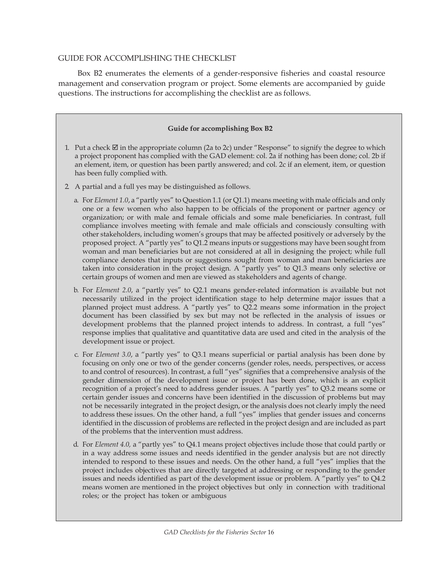## GUIDE FOR ACCOMPLISHING THE CHECKLIST

Box B2 enumerates the elements of a gender-responsive fisheries and coastal resource management and conservation program or project. Some elements are accompanied by guide questions. The instructions for accomplishing the checklist are as follows.

#### **Guide for accomplishing Box B2**

- 1. Put a check  $\boxtimes$  in the appropriate column (2a to 2c) under "Response" to signify the degree to which a project proponent has complied with the GAD element: col. 2a if nothing has been done; col. 2b if an element, item, or question has been partly answered; and col. 2c if an element, item, or question has been fully complied with.
- 2. A partial and a full yes may be distinguished as follows.
	- a. For *Element 1.0*, a "partly yes" to Question 1.1 (or Q1.1) means meeting with male officials and only one or a few women who also happen to be officials of the proponent or partner agency or organization; or with male and female officials and some male beneficiaries. In contrast, full compliance involves meeting with female and male officials and consciously consulting with other stakeholders, including women's groups that may be affected positively or adversely by the proposed project. A "partly yes" to Q1.2 means inputs or suggestions may have been sought from woman and man beneficiaries but are not considered at all in designing the project; while full compliance denotes that inputs or suggestions sought from woman and man beneficiaries are taken into consideration in the project design. A "partly yes" to Q1.3 means only selective or certain groups of women and men are viewed as stakeholders and agents of change.
	- b. For *Element 2.0*, a "partly yes" to Q2.1 means gender-related information is available but not necessarily utilized in the project identification stage to help determine major issues that a planned project must address. A "partly yes" to Q2.2 means some information in the project document has been classified by sex but may not be reflected in the analysis of issues or development problems that the planned project intends to address. In contrast, a full "yes" response implies that qualitative and quantitative data are used and cited in the analysis of the development issue or project.
	- c. For *Element 3.0*, a "partly yes" to Q3.1 means superficial or partial analysis has been done by focusing on only one or two of the gender concerns (gender roles, needs, perspectives, or access to and control of resources). In contrast, a full "yes" signifies that a comprehensive analysis of the gender dimension of the development issue or project has been done, which is an explicit recognition of a project's need to address gender issues. A "partly yes" to Q3.2 means some or certain gender issues and concerns have been identified in the discussion of problems but may not be necessarily integrated in the project design, or the analysis does not clearly imply the need to address these issues. On the other hand, a full "yes" implies that gender issues and concerns identified in the discussion of problems are reflected in the project design and are included as part of the problems that the intervention must address.
	- d. For *Element 4.0,* a "partly yes" to Q4.1 means project objectives include those that could partly or in a way address some issues and needs identified in the gender analysis but are not directly intended to respond to these issues and needs. On the other hand, a full "yes" implies that the project includes objectives that are directly targeted at addressing or responding to the gender issues and needs identified as part of the development issue or problem. A "partly yes" to Q4.2 means women are mentioned in the project objectives but only in connection with traditional roles; or the project has token or ambiguous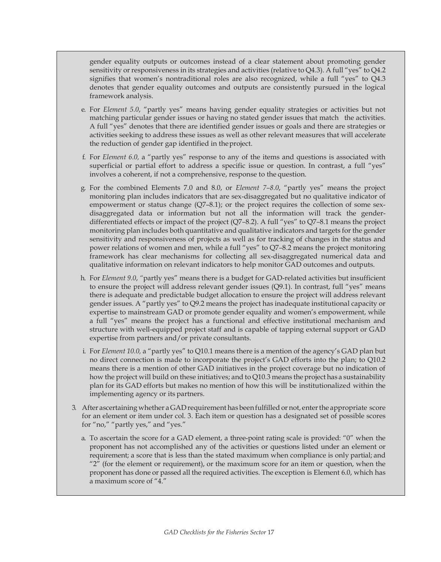gender equality outputs or outcomes instead of a clear statement about promoting gender sensitivity or responsiveness in its strategies and activities (relative to Q4.3). A full "yes" to Q4.2 signifies that women's nontraditional roles are also recognized, while a full "yes" to Q4.3 denotes that gender equality outcomes and outputs are consistently pursued in the logical framework analysis.

- e. For *Element 5.0*, "partly yes" means having gender equality strategies or activities but not matching particular gender issues or having no stated gender issues that match the activities. A full "yes" denotes that there are identified gender issues or goals and there are strategies or activities seeking to address these issues as well as other relevant measures that will accelerate the reduction of gender gap identified in theproject.
- f. For *Element 6.0,* a "partly yes" response to any of the items and questions is associated with superficial or partial effort to address a specific issue or question. In contrast, a full "yes" involves a coherent, if not a comprehensive, response to the question.
- g. For the combined Elements 7.0 and 8.0, or *Element 7–8.0*, "partly yes" means the project monitoring plan includes indicators that are sex-disaggregated but no qualitative indicator of empowerment or status change (Q7–8.1); or the project requires the collection of some sexdisaggregated data or information but not all the information will track the genderdifferentiated effects or impact of the project (Q7*–*8.2). A full "yes" to Q7*–*8.1 means the project monitoring plan includes both quantitative and qualitative indicators and targets for the gender sensitivity and responsiveness of projects as well as for tracking of changes in the status and power relations of women and men, while a full "yes" to Q7*–*8.2 means the project monitoring framework has clear mechanisms for collecting all sex-disaggregated numerical data and qualitative information on relevant indicators to help monitor GAD outcomes and outputs.
- h. For *Element 9.0*, *"*partly yes" means there is a budget for GAD-related activities but insufficient to ensure the project will address relevant gender issues (Q9.1). In contrast, full "yes" means there is adequate and predictable budget allocation to ensure the project will address relevant gender issues. A "partly yes" to Q9.2 means the project has inadequate institutional capacity or expertise to mainstream GAD or promote gender equality and women's empowerment, while a full "yes" means the project has a functional and effective institutional mechanism and structure with well-equipped project staff and is capable of tapping external support or GAD expertise from partners and/or private consultants.
- i. For *Element 10.0,* a "partly yes" to Q10.1 means there is a mention of the agency's GAD plan but no direct connection is made to incorporate the project's GAD efforts into the plan; to Q10.2 means there is a mention of other GAD initiatives in the project coverage but no indication of how the project will build on these initiatives; and to Q10.3 means theproject has a sustainability plan for its GAD efforts but makes no mention of how this will be institutionalized within the implementing agency or its partners.
- 3. After ascertaining whether aGADrequirement has beenfulfilled or not, enterthe appropriate score for an element or item under col. 3. Each item or question has a designated set of possible scores for "no," "partly yes," and "yes."
	- a. To ascertain the score for a GAD element, a three-point rating scale is provided: "0" when the proponent has not accomplished any of the activities or questions listed under an element or requirement; a score that is less than the stated maximum when compliance is only partial; and " $2$ " (for the element or requirement), or the maximum score for an item or question, when the proponent has done or passed all the required activities. The exception is Element 6.0, which has a maximum score of "4."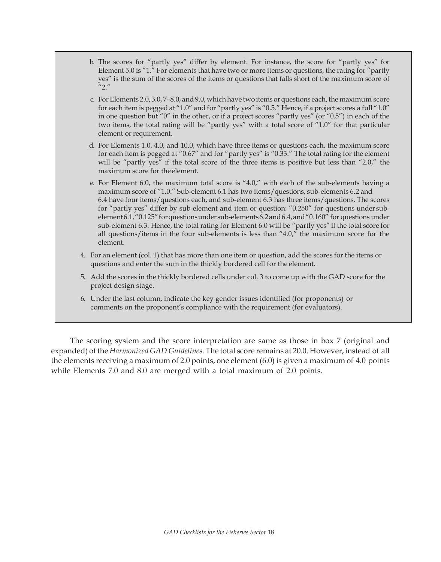- b. The scores for "partly yes" differ by element. For instance, the score for "partly yes" for Element 5.0 is "1." For elements that have two or more items or questions, the rating for "partly yes" is the sum of the scores of the items or questions that falls short of the maximum score of  $1/2$ ."
- c. For Elements  $2.0, 3.0, 7$ – $8.0$ , and  $9.0$ , which have two items or questions each, the maximum score for each item is pegged at "1.0" and for "partly yes" is "0.5." Hence, if a project scores a full "1.0" in one question but "0" in the other, or if a project scores "partly yes" (or "0.5") in each of the two items, the total rating will be "partly yes" with a total score of "1.0" for that particular element or requirement.
- d. For Elements 1.0, 4.0, and 10.0, which have three items or questions each, the maximum score for each item is pegged at "0.67" and for "partly yes" is "0.33." The total rating for the element will be "partly yes" if the total score of the three items is positive but less than "2.0," the maximum score for theelement.
- e. For Element 6.0, the maximum total score is "4.0," with each of the sub-elements having a maximum score of "1.0." Sub-element 6.1 has two items/questions, sub-elements 6.2 and 6.4 have four items/questions each, and sub-element 6.3 has three items/questions. The scores for "partly yes" differ by sub-element and item or question: "0.250" for questions under subelement6.1,"0.125"forquestionsundersub-elements6.2and6.4,and"0.160" for questions under sub-element 6.3. Hence, the total rating for Element 6.0 will be "partly yes" if the total score for all questions/items in the four sub-elements is less than "4.0," the maximum score for the element.
- 4. For an element (col. 1) that has more than one item or question, add the scores for the items or questions and enter the sum in the thickly bordered cell for the element.
- 5. Add the scores in the thickly bordered cells under col. 3 to come up with the GAD score for the project design stage.
- 6. Under the last column, indicate the key gender issues identified (for proponents) or comments on the proponent's compliance with the requirement (for evaluators).

The scoring system and the score interpretation are same as those in box 7 (original and expanded) of the *Harmonized GAD Guidelines*. The total score remains at 20.0. However, instead of all the elements receiving a maximum of 2.0 points, one element (6.0) is given a maximum of 4.0 points while Elements 7.0 and 8.0 are merged with a total maximum of 2.0 points.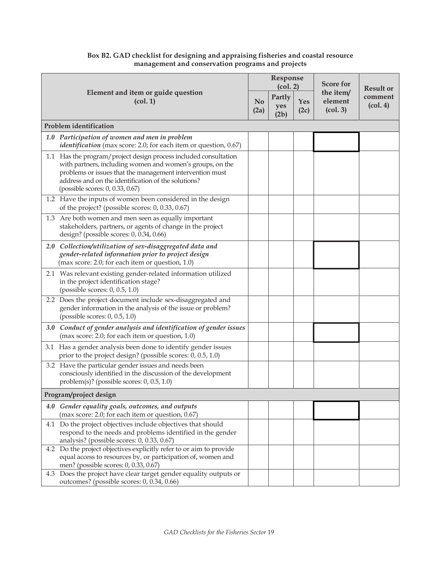|                                                |                                                                                                                                                                                                                                                                                      |                        | Response<br>(col. 2)  |             | <b>Score for</b>                                        | <b>Result or</b>                        |
|------------------------------------------------|--------------------------------------------------------------------------------------------------------------------------------------------------------------------------------------------------------------------------------------------------------------------------------------|------------------------|-----------------------|-------------|---------------------------------------------------------|-----------------------------------------|
| Element and item or guide question<br>(col. 1) |                                                                                                                                                                                                                                                                                      | N <sub>0</sub><br>(2a) | Partly<br>yes<br>(2b) | Yes<br>(2c) | the item/<br>element<br>$\left( \text{col. } 3 \right)$ | comment<br>$\left(\text{col. }4\right)$ |
|                                                | <b>Problem</b> identification                                                                                                                                                                                                                                                        |                        |                       |             |                                                         |                                         |
|                                                | 1.0 Participation of women and men in problem<br><i>identification</i> (max score: 2.0; for each item or question, 0.67)                                                                                                                                                             |                        |                       |             |                                                         |                                         |
|                                                | 1.1 Has the program/project design process included consultation<br>with partners, including women and women's groups, on the<br>problems or issues that the management intervention must<br>address and on the identification of the solutions?<br>(possible scores: 0, 0.33, 0.67) |                        |                       |             |                                                         |                                         |
|                                                | 1.2 Have the inputs of women been considered in the design<br>of the project? (possible scores: 0, 0.33, 0.67)                                                                                                                                                                       |                        |                       |             |                                                         |                                         |
|                                                | 1.3 Are both women and men seen as equally important<br>stakeholders, partners, or agents of change in the project<br>design? (possible scores: 0, 0.34, 0.66)                                                                                                                       |                        |                       |             |                                                         |                                         |
|                                                | 2.0 Collection/utilization of sex-disaggregated data and<br>gender-related information prior to project design<br>(max score: 2.0; for each item or question, 1.0)                                                                                                                   |                        |                       |             |                                                         |                                         |
|                                                | 2.1 Was relevant existing gender-related information utilized<br>in the project identification stage?<br>(possible scores: 0, 0.5, 1.0)                                                                                                                                              |                        |                       |             |                                                         |                                         |
|                                                | 2.2 Does the project document include sex-disaggregated and<br>gender information in the analysis of the issue or problem?<br>(possible scores: 0, 0.5, 1.0)                                                                                                                         |                        |                       |             |                                                         |                                         |
|                                                | 3.0 Conduct of gender analysis and identification of gender issues<br>(max score: 2.0; for each item or question, 1.0)                                                                                                                                                               |                        |                       |             |                                                         |                                         |
|                                                | 3.1 Has a gender analysis been done to identify gender issues<br>prior to the project design? (possible scores: 0, 0.5, 1.0)                                                                                                                                                         |                        |                       |             |                                                         |                                         |
|                                                | 3.2 Have the particular gender issues and needs been<br>consciously identified in the discussion of the development<br>problem(s)? (possible scores: 0, 0.5, 1.0)                                                                                                                    |                        |                       |             |                                                         |                                         |
|                                                | Program/project design                                                                                                                                                                                                                                                               |                        |                       |             |                                                         |                                         |
| 4.0                                            | Gender equality goals, outcomes, and outputs<br>(max score: 2.0; for each item or question, 0.67)                                                                                                                                                                                    |                        |                       |             |                                                         |                                         |
|                                                | 4.1 Do the project objectives include objectives that should<br>respond to the needs and problems identified in the gender<br>analysis? (possible scores: 0, 0.33, 0.67)                                                                                                             |                        |                       |             |                                                         |                                         |
|                                                | 4.2 Do the project objectives explicitly refer to or aim to provide<br>equal access to resources by, or participation of, women and<br>men? (possible scores: 0, 0.33, 0.67)                                                                                                         |                        |                       |             |                                                         |                                         |
|                                                | 4.3 Does the project have clear target gender equality outputs or<br>outcomes? (possible scores: 0, 0.34, 0.66)                                                                                                                                                                      |                        |                       |             |                                                         |                                         |

## **Box B2. GAD checklist for designing and appraising fisheries and coastal resource management and conservation programs and projects**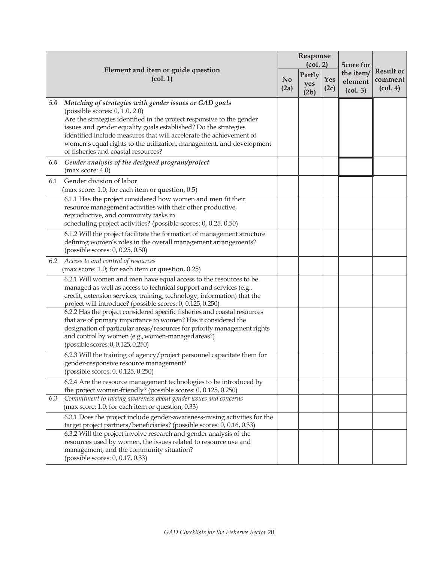|     |                                                                                                                                                                                                                                                                                                                                                                                                                            | Response<br>$\left( \text{col. 2} \right)$ |                       |             | <b>Score for</b>                                        |                                                             |
|-----|----------------------------------------------------------------------------------------------------------------------------------------------------------------------------------------------------------------------------------------------------------------------------------------------------------------------------------------------------------------------------------------------------------------------------|--------------------------------------------|-----------------------|-------------|---------------------------------------------------------|-------------------------------------------------------------|
|     | Element and item or guide question<br>$\left($ col. 1 $\right)$                                                                                                                                                                                                                                                                                                                                                            |                                            | Partly<br>yes<br>(2b) | Yes<br>(2c) | the item/<br>element<br>$\left( \text{col. } 3 \right)$ | <b>Result or</b><br>comment<br>$\left(\text{col. }4\right)$ |
| 5.0 | Matching of strategies with gender issues or GAD goals<br>(possible scores: 0, 1.0, 2.0)<br>Are the strategies identified in the project responsive to the gender<br>issues and gender equality goals established? Do the strategies<br>identified include measures that will accelerate the achievement of<br>women's equal rights to the utilization, management, and development<br>of fisheries and coastal resources? |                                            |                       |             |                                                         |                                                             |
| 6.0 | Gender analysis of the designed program/project<br>(max score: 4.0)                                                                                                                                                                                                                                                                                                                                                        |                                            |                       |             |                                                         |                                                             |
| 6.1 | Gender division of labor<br>(max score: 1.0; for each item or question, 0.5)                                                                                                                                                                                                                                                                                                                                               |                                            |                       |             |                                                         |                                                             |
|     | 6.1.1 Has the project considered how women and men fit their<br>resource management activities with their other productive,<br>reproductive, and community tasks in<br>scheduling project activities? (possible scores: 0, 0.25, 0.50)                                                                                                                                                                                     |                                            |                       |             |                                                         |                                                             |
|     | 6.1.2 Will the project facilitate the formation of management structure<br>defining women's roles in the overall management arrangements?<br>(possible scores: 0, 0.25, 0.50)                                                                                                                                                                                                                                              |                                            |                       |             |                                                         |                                                             |
| 6.2 | Access to and control of resources<br>(max score: 1.0; for each item or question, 0.25)                                                                                                                                                                                                                                                                                                                                    |                                            |                       |             |                                                         |                                                             |
|     | 6.2.1 Will women and men have equal access to the resources to be<br>managed as well as access to technical support and services (e.g.,<br>credit, extension services, training, technology, information) that the<br>project will introduce? (possible scores: 0, 0.125, 0.250)                                                                                                                                           |                                            |                       |             |                                                         |                                                             |
|     | 6.2.2 Has the project considered specific fisheries and coastal resources<br>that are of primary importance to women? Has it considered the<br>designation of particular areas/resources for priority management rights<br>and control by women (e.g., women-managed areas?)<br>(possible scores: 0, 0.125, 0.250)                                                                                                         |                                            |                       |             |                                                         |                                                             |
|     | 6.2.3 Will the training of agency/project personnel capacitate them for<br>gender-responsive resource management?<br>(possible scores: 0, 0.125, 0.250)                                                                                                                                                                                                                                                                    |                                            |                       |             |                                                         |                                                             |
|     | 6.2.4 Are the resource management technologies to be introduced by<br>the project women-friendly? (possible scores: 0, 0.125, 0.250)                                                                                                                                                                                                                                                                                       |                                            |                       |             |                                                         |                                                             |
| 6.3 | Commitment to raising awareness about gender issues and concerns<br>(max score: 1.0; for each item or question, 0.33)                                                                                                                                                                                                                                                                                                      |                                            |                       |             |                                                         |                                                             |
|     | 6.3.1 Does the project include gender-awareness-raising activities for the<br>target project partners/beneficiaries? (possible scores: 0, 0.16, 0.33)<br>6.3.2 Will the project involve research and gender analysis of the<br>resources used by women, the issues related to resource use and<br>management, and the community situation?<br>(possible scores: 0, 0.17, 0.33)                                             |                                            |                       |             |                                                         |                                                             |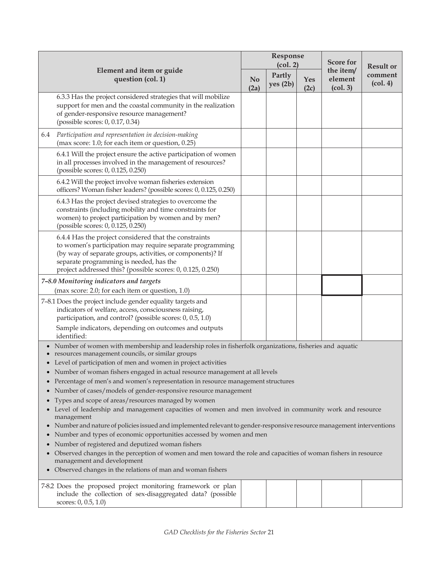|                                                                                                                                                                                                                                                                                                                                                                                                                                                                                                                                                                                                                                                                                                                                                                                                                                                                                                                                                                                                                                                                                                                            |                                                                                                                                                                                                                                                                                           |                        |                    | Response<br>(col. 2) | <b>Score for</b>                 | <b>Result or</b>                           |
|----------------------------------------------------------------------------------------------------------------------------------------------------------------------------------------------------------------------------------------------------------------------------------------------------------------------------------------------------------------------------------------------------------------------------------------------------------------------------------------------------------------------------------------------------------------------------------------------------------------------------------------------------------------------------------------------------------------------------------------------------------------------------------------------------------------------------------------------------------------------------------------------------------------------------------------------------------------------------------------------------------------------------------------------------------------------------------------------------------------------------|-------------------------------------------------------------------------------------------------------------------------------------------------------------------------------------------------------------------------------------------------------------------------------------------|------------------------|--------------------|----------------------|----------------------------------|--------------------------------------------|
|                                                                                                                                                                                                                                                                                                                                                                                                                                                                                                                                                                                                                                                                                                                                                                                                                                                                                                                                                                                                                                                                                                                            | Element and item or guide<br>question (col. 1)                                                                                                                                                                                                                                            | N <sub>0</sub><br>(2a) | Partly<br>yes (2b) | Yes<br>(2c)          | the item/<br>element<br>(col. 3) | comment<br>$\left( \text{col. } 4 \right)$ |
|                                                                                                                                                                                                                                                                                                                                                                                                                                                                                                                                                                                                                                                                                                                                                                                                                                                                                                                                                                                                                                                                                                                            | 6.3.3 Has the project considered strategies that will mobilize<br>support for men and the coastal community in the realization<br>of gender-responsive resource management?<br>(possible scores: 0, 0.17, 0.34)                                                                           |                        |                    |                      |                                  |                                            |
| 6.4                                                                                                                                                                                                                                                                                                                                                                                                                                                                                                                                                                                                                                                                                                                                                                                                                                                                                                                                                                                                                                                                                                                        | Participation and representation in decision-making<br>(max score: 1.0; for each item or question, 0.25)                                                                                                                                                                                  |                        |                    |                      |                                  |                                            |
|                                                                                                                                                                                                                                                                                                                                                                                                                                                                                                                                                                                                                                                                                                                                                                                                                                                                                                                                                                                                                                                                                                                            | 6.4.1 Will the project ensure the active participation of women<br>in all processes involved in the management of resources?<br>(possible scores: 0, 0.125, 0.250)                                                                                                                        |                        |                    |                      |                                  |                                            |
|                                                                                                                                                                                                                                                                                                                                                                                                                                                                                                                                                                                                                                                                                                                                                                                                                                                                                                                                                                                                                                                                                                                            | 6.4.2 Will the project involve woman fisheries extension<br>officers? Woman fisher leaders? (possible scores: 0, 0.125, 0.250)                                                                                                                                                            |                        |                    |                      |                                  |                                            |
|                                                                                                                                                                                                                                                                                                                                                                                                                                                                                                                                                                                                                                                                                                                                                                                                                                                                                                                                                                                                                                                                                                                            | 6.4.3 Has the project devised strategies to overcome the<br>constraints (including mobility and time constraints for<br>women) to project participation by women and by men?<br>(possible scores: 0, 0.125, 0.250)                                                                        |                        |                    |                      |                                  |                                            |
|                                                                                                                                                                                                                                                                                                                                                                                                                                                                                                                                                                                                                                                                                                                                                                                                                                                                                                                                                                                                                                                                                                                            | 6.4.4 Has the project considered that the constraints<br>to women's participation may require separate programming<br>(by way of separate groups, activities, or components)? If<br>separate programming is needed, has the<br>project addressed this? (possible scores: 0, 0.125, 0.250) |                        |                    |                      |                                  |                                            |
|                                                                                                                                                                                                                                                                                                                                                                                                                                                                                                                                                                                                                                                                                                                                                                                                                                                                                                                                                                                                                                                                                                                            | 7-8.0 Monitoring indicators and targets                                                                                                                                                                                                                                                   |                        |                    |                      |                                  |                                            |
|                                                                                                                                                                                                                                                                                                                                                                                                                                                                                                                                                                                                                                                                                                                                                                                                                                                                                                                                                                                                                                                                                                                            | (max score: 2.0; for each item or question, 1.0)                                                                                                                                                                                                                                          |                        |                    |                      |                                  |                                            |
|                                                                                                                                                                                                                                                                                                                                                                                                                                                                                                                                                                                                                                                                                                                                                                                                                                                                                                                                                                                                                                                                                                                            | 7-8.1 Does the project include gender equality targets and<br>indicators of welfare, access, consciousness raising,<br>participation, and control? (possible scores: 0, 0.5, 1.0)                                                                                                         |                        |                    |                      |                                  |                                            |
|                                                                                                                                                                                                                                                                                                                                                                                                                                                                                                                                                                                                                                                                                                                                                                                                                                                                                                                                                                                                                                                                                                                            | Sample indicators, depending on outcomes and outputs<br>identified:                                                                                                                                                                                                                       |                        |                    |                      |                                  |                                            |
| • Number of women with membership and leadership roles in fisherfolk organizations, fisheries and aquatic<br>resources management councils, or similar groups<br>• Level of participation of men and women in project activities<br>Number of woman fishers engaged in actual resource management at all levels<br>Percentage of men's and women's representation in resource management structures<br>Number of cases/models of gender-responsive resource management<br>Types and scope of areas/resources managed by women<br>Level of leadership and management capacities of women and men involved in community work and resource<br>management<br>• Number and nature of policies issued and implemented relevant to gender-responsive resource management interventions<br>Number and types of economic opportunities accessed by women and men<br>Number of registered and deputized woman fishers<br>Observed changes in the perception of women and men toward the role and capacities of woman fishers in resource<br>management and development<br>Observed changes in the relations of man and woman fishers |                                                                                                                                                                                                                                                                                           |                        |                    |                      |                                  |                                            |
|                                                                                                                                                                                                                                                                                                                                                                                                                                                                                                                                                                                                                                                                                                                                                                                                                                                                                                                                                                                                                                                                                                                            | 7-8.2 Does the proposed project monitoring framework or plan<br>include the collection of sex-disaggregated data? (possible<br>scores: 0, 0.5, 1.0)                                                                                                                                       |                        |                    |                      |                                  |                                            |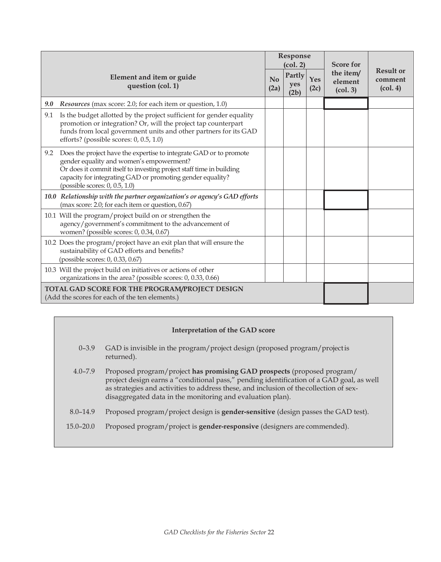|                                                                                                                                                                                                                                                                                                        |                                   | Response<br>(col. 2)  |             | <b>Score for</b>                                        |                                                             |
|--------------------------------------------------------------------------------------------------------------------------------------------------------------------------------------------------------------------------------------------------------------------------------------------------------|-----------------------------------|-----------------------|-------------|---------------------------------------------------------|-------------------------------------------------------------|
| Element and item or guide<br>question (col. 1)                                                                                                                                                                                                                                                         | $\mathbf{N}$ <sub>0</sub><br>(2a) | Partly<br>yes<br>(2b) | Yes<br>(2c) | the item/<br>element<br>$\left( \text{col. } 3 \right)$ | <b>Result or</b><br>comment<br>$\left(\text{col. }4\right)$ |
| 9.0<br><i>Resources</i> (max score: 2.0; for each item or question, 1.0)                                                                                                                                                                                                                               |                                   |                       |             |                                                         |                                                             |
| Is the budget allotted by the project sufficient for gender equality<br>9.1<br>promotion or integration? Or, will the project tap counterpart<br>funds from local government units and other partners for its GAD<br>efforts? (possible scores: 0, 0.5, 1.0)                                           |                                   |                       |             |                                                         |                                                             |
| Does the project have the expertise to integrate GAD or to promote<br>9.2<br>gender equality and women's empowerment?<br>Or does it commit itself to investing project staff time in building<br>capacity for integrating GAD or promoting gender equality?<br>(possible scores: $0$ , $0.5$ , $1.0$ ) |                                   |                       |             |                                                         |                                                             |
| 10.0 Relationship with the partner organization's or agency's GAD efforts<br>(max score: 2.0; for each item or question, 0.67)                                                                                                                                                                         |                                   |                       |             |                                                         |                                                             |
| 10.1 Will the program/project build on or strengthen the<br>agency/government's commitment to the advancement of<br>women? (possible scores: 0, 0.34, 0.67)                                                                                                                                            |                                   |                       |             |                                                         |                                                             |
| 10.2 Does the program/project have an exit plan that will ensure the<br>sustainability of GAD efforts and benefits?<br>(possible scores: 0, 0.33, 0.67)                                                                                                                                                |                                   |                       |             |                                                         |                                                             |
| 10.3 Will the project build on initiatives or actions of other<br>organizations in the area? (possible scores: 0, 0.33, 0.66)                                                                                                                                                                          |                                   |                       |             |                                                         |                                                             |
| TOTAL GAD SCORE FOR THE PROGRAM/PROJECT DESIGN<br>(Add the scores for each of the ten elements.)                                                                                                                                                                                                       |                                   |                       |             |                                                         |                                                             |

# **Interpretation of the GAD score**

- 0–3.9 GAD is invisible in the program/project design (proposed program/project is returned).
- 4.0–7.9 Proposed program/project **has promising GAD prospects** (proposed program/ project design earns a "conditional pass," pending identification of a GAD goal, as well as strategies and activities to address these, and inclusion of thecollection of sexdisaggregated data in the monitoring and evaluation plan).
- 8.0–14.9 Proposed program/project design is **gender-sensitive** (design passes the GAD test).
- 15.0–20.0 Proposed program/project is **gender-responsive** (designers are commended).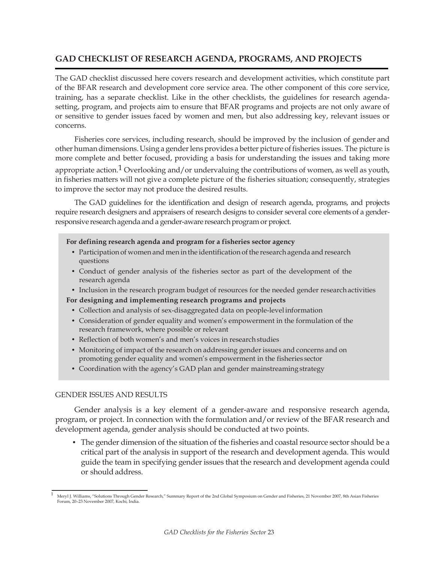# **GAD CHECKLIST OF RESEARCH AGENDA, PROGRAMS, AND PROJECTS**

The GAD checklist discussed here covers research and development activities, which constitute part of the BFAR research and development core service area. The other component of this core service, training, has a separate checklist. Like in the other checklists, the guidelines for research agendasetting, program, and projects aim to ensure that BFAR programs and projects are not only aware of or sensitive to gender issues faced by women and men, but also addressing key, relevant issues or concerns.

Fisheries core services, including research, should be improved by the inclusion of gender and other humandimensions. Using a genderlens provides a better picture offisheries issues. The picture is more complete and better focused, providing a basis for understanding the issues and taking more appropriate action.<sup>1</sup> Overlooking and/or undervaluing the contributions of women, as well as youth, in fisheries matters will not give a complete picture of the fisheries situation; consequently, strategies to improve the sector may not produce the desired results.

The GAD guidelines for the identification and design of research agenda, programs, and projects require research designers and appraisers of research designs to consider several core elements of a genderresponsive research agenda and a gender-aware research program or project.

#### **For defining research agenda and program for a fisheries sector agency**

- Participation of women and men in the identification of the research agenda and research questions
- Conduct of gender analysis of the fisheries sector as part of the development of the research agenda
- Inclusion in the research program budget of resources for the needed gender research activities

#### **For designing and implementing research programs and projects**

- Collection and analysis of sex-disaggregated data on people-levelinformation
- Consideration of gender equality and women's empowerment in the formulation of the research framework, where possible or relevant
- Reflection of both women's and men's voices in researchstudies
- Monitoring of impact of the research on addressing gender issues and concerns and on promoting gender equality and women's empowerment in the fisheries sector
- Coordination with the agency's GAD plan and gender mainstreaming strategy

#### GENDER ISSUES AND RESULTS

Gender analysis is a key element of a gender-aware and responsive research agenda, program, or project. In connection with the formulation and/or review of the BFAR research and development agenda, gender analysis should be conducted at two points.

• The gender dimension of the situation of the fisheries and coastal resource sector should be a critical part of the analysis in support of the research and development agenda. This would guide the team in specifying gender issues that the research and development agenda could or should address.

<sup>1</sup> Meryl J. Williams, "Solutions Through Gender Research," Summary Report of the 2nd Global Symposium on Gender and Fisheries, 21 November 2007, 8th Asian Fisheries Forum, 20–23 November 2007, Kochi, India.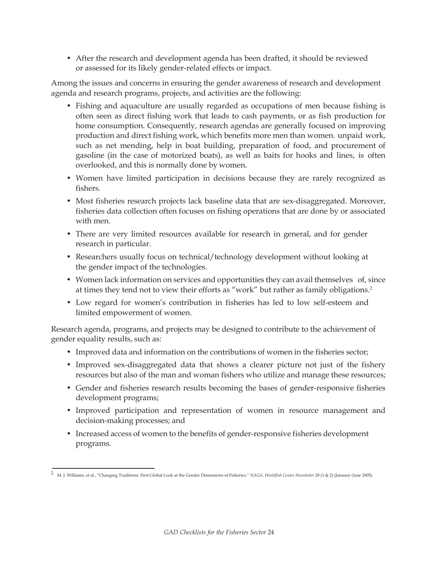• After the research and development agenda has been drafted, it should be reviewed or assessed for its likely gender-related effects or impact.

Among the issues and concerns in ensuring the gender awareness of research and development agenda and research programs, projects, and activities are the following:

- Fishing and aquaculture are usually regarded as occupations of men because fishing is often seen as direct fishing work that leads to cash payments, or as fish production for home consumption. Consequently, research agendas are generally focused on improving production and direct fishing work, which benefits more men than women. unpaid work, such as net mending, help in boat building, preparation of food, and procurement of gasoline (in the case of motorized boats), as well as baits for hooks and lines, is often overlooked, and this is normally done by women.
- Women have limited participation in decisions because they are rarely recognized as fishers.
- Most fisheries research projects lack baseline data that are sex-disaggregated. Moreover, fisheries data collection often focuses on fishing operations that are done by or associated with men.
- There are very limited resources available for research in general, and for gender research in particular.
- Researchers usually focus on technical/technology development without looking at the gender impact of the technologies.
- Women lack information on services and opportunities they can avail themselves of, since at times they tend not to view their efforts as "work" but rather as family obligations.2
- Low regard for women's contribution in fisheries has led to low self-esteem and limited empowerment of women.

Research agenda, programs, and projects may be designed to contribute to the achievement of gender equality results, such as:

- Improved data and information on the contributions of women in the fisheries sector;
- Improved sex-disaggregated data that shows a clearer picture not just of the fishery resources but also of the man and woman fishers who utilize and manage these resources;
- Gender and fisheries research results becoming the bases of gender-responsive fisheries development programs;
- Improved participation and representation of women in resource management and decision-making processes; and
- Increased access of women to the benefits of gender-responsive fisheries development programs.

<sup>2</sup> M. J. Williams, et al., "Changing Traditions: First Global Look at the Gender Dimensions of Fisheries," *NAGA, Worldfish Center Newsletter* 28 (1 & 2) (January–June 2005).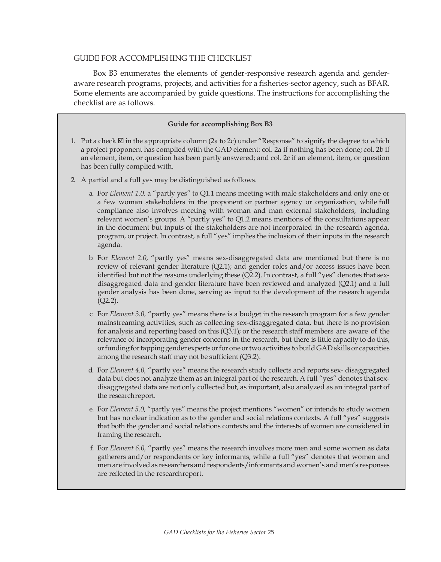### GUIDE FOR ACCOMPLISHING THE CHECKLIST

Box B3 enumerates the elements of gender-responsive research agenda and genderaware research programs, projects, and activities for a fisheries-sector agency, such as BFAR. Some elements are accompanied by guide questions. The instructions for accomplishing the checklist are as follows.

#### **Guide for accomplishing Box B3**

- 1. Put a check  $\boxtimes$  in the appropriate column (2a to 2c) under "Response" to signify the degree to which a project proponent has complied with the GAD element: col. 2a if nothing has been done; col. 2b if an element, item, or question has been partly answered; and col. 2c if an element, item, or question has been fully complied with.
- 2. A partial and a full yes may be distinguished as follows.
	- a. For *Element 1.0,* a "partly yes" to Q1.1 means meeting with male stakeholders and only one or a few woman stakeholders in the proponent or partner agency or organization, while full compliance also involves meeting with woman and man external stakeholders, including relevant women's groups. A "partly yes" to Q1.2 means mentions of the consultations appear in the document but inputs of the stakeholders are not incorporated in the research agenda, program, or project. In contrast, a full "yes" implies the inclusion of their inputs in the research agenda.
	- b. For *Element 2.0,* "partly yes" means sex-disaggregated data are mentioned but there is no review of relevant gender literature (Q2.1); and gender roles and/or access issues have been identified but not the reasons underlying these (Q2.2). In contrast, a full "yes" denotes that sexdisaggregated data and gender literature have been reviewed and analyzed (Q2.1) and a full gender analysis has been done, serving as input to the development of the research agenda (Q2.2).
	- c. For *Element 3.0,* "partly yes" means there is a budget in the research program for a few gender mainstreaming activities, such as collecting sex-disaggregated data, but there is no provision for analysis and reporting based on this (Q3.1); or the research staff members are aware of the relevance of incorporating gender concerns in the research, but there is little capacity to do this, orfundingfortappinggender experts orfor one ortwo activities to build GAD skills or capacities among the research staff may not be sufficient (Q3.2).
	- d. For *Element 4.0,* "partly yes" means the research study collects and reports sex- disaggregated data but does not analyze them as an integral part of the research. A full "yes" denotes that sexdisaggregated data are not only collected but, as important, also analyzed as an integral part of the researchreport.
	- e. For *Element 5.0,* "partly yes" means the project mentions "women" or intends to study women but has no clear indication as to the gender and social relations contexts. A full "yes" suggests that both the gender and social relations contexts and the interests of women are considered in framing the research.
	- f. For *Element 6.0,* "partly yes" means the research involves more men and some women as data gatherers and/or respondents or key informants, while a full "yes" denotes that women and men are involved as researchers and respondents/informants and women's and men's responses are reflected in the researchreport.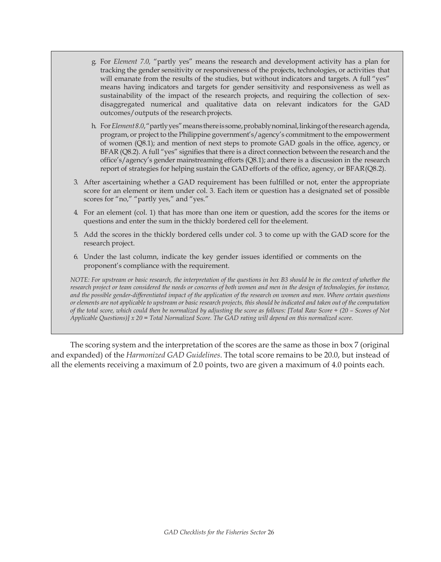- g. For *Element 7.0,* "partly yes" means the research and development activity has a plan for tracking the gender sensitivity or responsiveness of the projects, technologies, or activities that will emanate from the results of the studies, but without indicators and targets. A full "yes" means having indicators and targets for gender sensitivity and responsiveness as well as sustainability of the impact of the research projects, and requiring the collection of sexdisaggregated numerical and qualitative data on relevant indicators for the GAD outcomes/outputs of the research projects.
- h. For*Element8.0*,"partlyyes"meansthereissome,probablynominal,linkingoftheresearch agenda, program, or project to the Philippine government's/agency's commitment to the empowerment of women (Q8.1); and mention of next steps to promote GAD goals in the office, agency, or BFAR (Q8.2). A full "yes" signifies that there is a direct connection between the research and the office's/agency's gender mainstreaming efforts (Q8.1); and there is a discussion in the research report of strategies for helping sustain the GAD efforts of the office, agency, or BFAR(Q8.2).
- 3. After ascertaining whether a GAD requirement has been fulfilled or not, enter the appropriate score for an element or item under col. 3. Each item or question has a designated set of possible scores for "no," "partly yes," and "yes."
- 4. For an element (col. 1) that has more than one item or question, add the scores for the items or questions and enter the sum in the thickly bordered cell for the element.
- 5. Add the scores in the thickly bordered cells under col. 3 to come up with the GAD score for the research project.
- 6. Under the last column, indicate the key gender issues identified or comments on the proponent's compliance with the requirement.

*NOTE: For upstream or basic research, the interpretation of the questions in box B3 should be in the context of whether the research project or team considered the needs or concerns of both women and men in the design of technologies, for instance, and the possible gender-differentiated impact of the application of the research on women and men. Where certain questions or elements are not applicable to upstream or basic research projects, this should be indicated and taken out of the computation of the total score, which could then be normalized by adjusting the score as follows: [Total Raw Score ÷ (20 – Scores of Not Applicable Questions)] x 20 = Total Normalized Score. The GAD rating will depend on this normalized score.*

The scoring system and the interpretation of the scores are the same as those in box 7 (original and expanded) of the *Harmonized GAD Guidelines*. The total score remains to be 20.0, but instead of all the elements receiving a maximum of 2.0 points, two are given a maximum of 4.0 points each.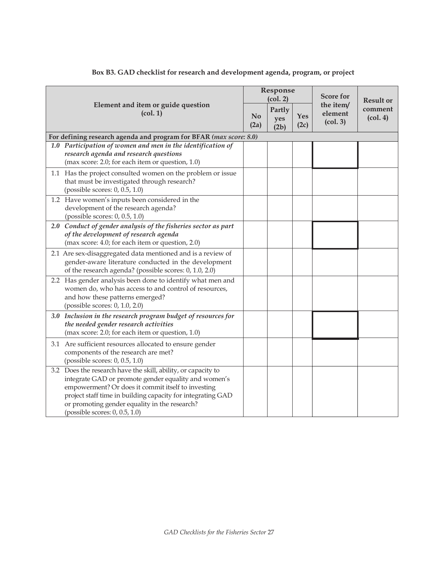|                                                                                                                                                                                                                                                                                                                                        |  | Response<br>(col. 2)  |             | <b>Score for</b>                 | <b>Result or</b>                        |
|----------------------------------------------------------------------------------------------------------------------------------------------------------------------------------------------------------------------------------------------------------------------------------------------------------------------------------------|--|-----------------------|-------------|----------------------------------|-----------------------------------------|
| Element and item or guide question<br>(col. 1)                                                                                                                                                                                                                                                                                         |  | Partly<br>yes<br>(2b) | Yes<br>(2c) | the item/<br>element<br>(col. 3) | comment<br>$\left(\text{col. }4\right)$ |
| For defining research agenda and program for BFAR (max score: 8.0)                                                                                                                                                                                                                                                                     |  |                       |             |                                  |                                         |
| 1.0 Participation of women and men in the identification of<br>research agenda and research questions<br>(max score: 2.0; for each item or question, 1.0)                                                                                                                                                                              |  |                       |             |                                  |                                         |
| 1.1 Has the project consulted women on the problem or issue<br>that must be investigated through research?<br>(possible scores: 0, 0.5, 1.0)                                                                                                                                                                                           |  |                       |             |                                  |                                         |
| 1.2 Have women's inputs been considered in the<br>development of the research agenda?<br>(possible scores: 0, 0.5, 1.0)                                                                                                                                                                                                                |  |                       |             |                                  |                                         |
| 2.0 Conduct of gender analysis of the fisheries sector as part<br>of the development of research agenda<br>(max score: 4.0; for each item or question, 2.0)                                                                                                                                                                            |  |                       |             |                                  |                                         |
| 2.1 Are sex-disaggregated data mentioned and is a review of<br>gender-aware literature conducted in the development<br>of the research agenda? (possible scores: 0, 1.0, 2.0)                                                                                                                                                          |  |                       |             |                                  |                                         |
| 2.2 Has gender analysis been done to identify what men and<br>women do, who has access to and control of resources,<br>and how these patterns emerged?<br>(possible scores: 0, 1.0, 2.0)                                                                                                                                               |  |                       |             |                                  |                                         |
| 3.0 Inclusion in the research program budget of resources for<br>the needed gender research activities<br>(max score: 2.0; for each item or question, 1.0)                                                                                                                                                                             |  |                       |             |                                  |                                         |
| 3.1 Are sufficient resources allocated to ensure gender<br>components of the research are met?<br>(possible scores: 0, 0.5, 1.0)                                                                                                                                                                                                       |  |                       |             |                                  |                                         |
| 3.2 Does the research have the skill, ability, or capacity to<br>integrate GAD or promote gender equality and women's<br>empowerment? Or does it commit itself to investing<br>project staff time in building capacity for integrating GAD<br>or promoting gender equality in the research?<br>(possible scores: $0$ , $0.5$ , $1.0$ ) |  |                       |             |                                  |                                         |

# **Box B3. GAD checklist for research and development agenda, program, or project**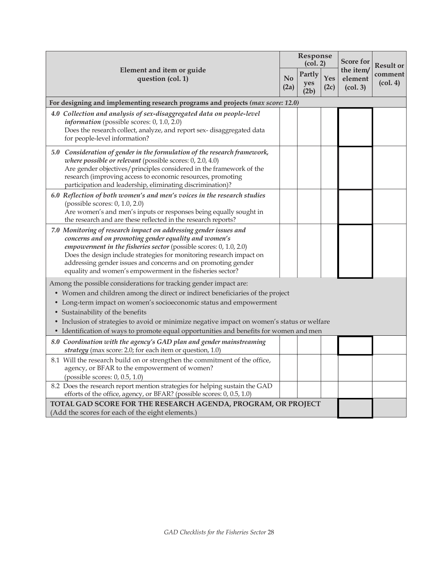|                                                                                                                                                                                                                                                                                                                                                                                                                                                        |                        | Response<br>(col. 2)  |                    | <b>Result or</b>                 |                                         |
|--------------------------------------------------------------------------------------------------------------------------------------------------------------------------------------------------------------------------------------------------------------------------------------------------------------------------------------------------------------------------------------------------------------------------------------------------------|------------------------|-----------------------|--------------------|----------------------------------|-----------------------------------------|
| Element and item or guide<br>question (col. 1)                                                                                                                                                                                                                                                                                                                                                                                                         | N <sub>o</sub><br>(2a) | Partly<br>yes<br>(2b) | <b>Yes</b><br>(2c) | the item/<br>element<br>(col. 3) | comment<br>$\left(\text{col. }4\right)$ |
| For designing and implementing research programs and projects (max score: 12.0)                                                                                                                                                                                                                                                                                                                                                                        |                        |                       |                    |                                  |                                         |
| 4.0 Collection and analysis of sex-disaggregated data on people-level<br><i>information</i> (possible scores: $0, 1.0, 2.0$ )<br>Does the research collect, analyze, and report sex-disaggregated data<br>for people-level information?                                                                                                                                                                                                                |                        |                       |                    |                                  |                                         |
| 5.0 Consideration of gender in the formulation of the research framework,<br>where possible or relevant (possible scores: 0, 2.0, 4.0)<br>Are gender objectives/principles considered in the framework of the<br>research (improving access to economic resources, promoting<br>participation and leadership, eliminating discrimination)?                                                                                                             |                        |                       |                    |                                  |                                         |
| 6.0 Reflection of both women's and men's voices in the research studies<br>(possible scores: 0, 1.0, 2.0)<br>Are women's and men's inputs or responses being equally sought in<br>the research and are these reflected in the research reports?                                                                                                                                                                                                        |                        |                       |                    |                                  |                                         |
| 7.0 Monitoring of research impact on addressing gender issues and<br>concerns and on promoting gender equality and women's<br>empowerment in the fisheries sector (possible scores: 0, 1.0, 2.0)<br>Does the design include strategies for monitoring research impact on<br>addressing gender issues and concerns and on promoting gender<br>equality and women's empowerment in the fisheries sector?                                                 |                        |                       |                    |                                  |                                         |
| Among the possible considerations for tracking gender impact are:<br>• Women and children among the direct or indirect beneficiaries of the project<br>• Long-term impact on women's socioeconomic status and empowerment<br>• Sustainability of the benefits<br>• Inclusion of strategies to avoid or minimize negative impact on women's status or welfare<br>• Identification of ways to promote equal opportunities and benefits for women and men |                        |                       |                    |                                  |                                         |
| 8.0 Coordination with the agency's GAD plan and gender mainstreaming<br>strategy (max score: 2.0; for each item or question, 1.0)                                                                                                                                                                                                                                                                                                                      |                        |                       |                    |                                  |                                         |
| 8.1 Will the research build on or strengthen the commitment of the office,<br>agency, or BFAR to the empowerment of women?<br>(possible scores: 0, 0.5, 1.0)                                                                                                                                                                                                                                                                                           |                        |                       |                    |                                  |                                         |
| 8.2 Does the research report mention strategies for helping sustain the GAD<br>efforts of the office, agency, or BFAR? (possible scores: 0, 0.5, 1.0)                                                                                                                                                                                                                                                                                                  |                        |                       |                    |                                  |                                         |
| TOTAL GAD SCORE FOR THE RESEARCH AGENDA, PROGRAM, OR PROJECT<br>(Add the scores for each of the eight elements.)                                                                                                                                                                                                                                                                                                                                       |                        |                       |                    |                                  |                                         |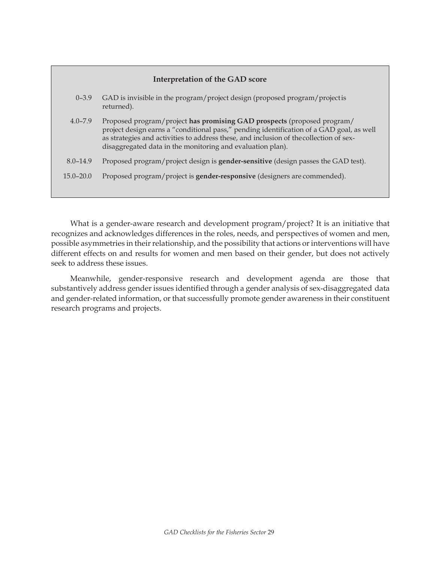| <b>Interpretation of the GAD score</b> |  |  |
|----------------------------------------|--|--|
|----------------------------------------|--|--|

| $0 - 3.9$     | GAD is invisible in the program/project design (proposed program/project is<br>returned).                                                                                                                                                                                                                                   |
|---------------|-----------------------------------------------------------------------------------------------------------------------------------------------------------------------------------------------------------------------------------------------------------------------------------------------------------------------------|
| $4.0 - 7.9$   | Proposed program/project has promising GAD prospects (proposed program/<br>project design earns a "conditional pass," pending identification of a GAD goal, as well<br>as strategies and activities to address these, and inclusion of the collection of sex-<br>disaggregated data in the monitoring and evaluation plan). |
| $8.0 - 14.9$  | Proposed program/project design is <b>gender-sensitive</b> (design passes the GAD test).                                                                                                                                                                                                                                    |
| $15.0 - 20.0$ | Proposed program/project is <b>gender-responsive</b> (designers are commended).                                                                                                                                                                                                                                             |
|               |                                                                                                                                                                                                                                                                                                                             |

What is a gender-aware research and development program/project? It is an initiative that recognizes and acknowledges differences in the roles, needs, and perspectives of women and men, possible asymmetries in their relationship, and the possibility that actions or interventions will have different effects on and results for women and men based on their gender, but does not actively seek to address these issues.

Meanwhile, gender-responsive research and development agenda are those that substantively address gender issues identified through a gender analysis of sex-disaggregated data and gender-related information, or that successfully promote gender awareness in their constituent research programs and projects.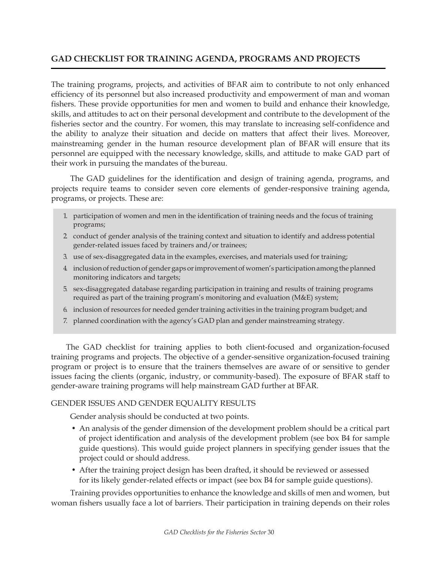# **GAD CHECKLIST FOR TRAINING AGENDA, PROGRAMS AND PROJECTS**

The training programs, projects, and activities of BFAR aim to contribute to not only enhanced efficiency of its personnel but also increased productivity and empowerment of man and woman fishers. These provide opportunities for men and women to build and enhance their knowledge, skills, and attitudes to act on their personal development and contribute to the development of the fisheries sector and the country. For women, this may translate to increasing self-confidence and the ability to analyze their situation and decide on matters that affect their lives. Moreover, mainstreaming gender in the human resource development plan of BFAR will ensure that its personnel are equipped with the necessary knowledge, skills, and attitude to make GAD part of their work in pursuing the mandates of the bureau.

The GAD guidelines for the identification and design of training agenda, programs, and projects require teams to consider seven core elements of gender-responsive training agenda, programs, or projects. These are:

- 1. participation of women and men in the identification of training needs and the focus of training programs;
- 2. conduct of gender analysis of the training context and situation to identify and addresspotential gender-related issues faced by trainers and/or trainees;
- 3. use of sex-disaggregated data in the examples, exercises, and materials used for training;
- 4. inclusionofreductionofgendergapsorimprovementof women'sparticipationamongtheplanned monitoring indicators and targets;
- 5. sex-disaggregated database regarding participation in training and results of training programs required as part of the training program's monitoring and evaluation (M&E) system;
- 6. inclusion of resources for needed gender training activities in the training program budget; and
- 7. planned coordination with the agency's GAD plan and gender mainstreaming strategy.

The GAD checklist for training applies to both client-focused and organization-focused training programs and projects. The objective of a gender-sensitive organization-focused training program or project is to ensure that the trainers themselves are aware of or sensitive to gender issues facing the clients (organic, industry, or community-based). The exposure of BFAR staff to gender-aware training programs will help mainstream GAD further at BFAR.

# GENDER ISSUES AND GENDER EQUALITY RESULTS

Gender analysis should be conducted at two points.

- An analysis of the gender dimension of the development problem should be a critical part of project identification and analysis of the development problem (see box B4 for sample guide questions). This would guide project planners in specifying gender issues that the project could or should address.
- After the training project design has been drafted, it should be reviewed or assessed for its likely gender-related effects or impact (see box B4 for sample guide questions).

Training provides opportunities to enhance the knowledge and skills of men and women, but woman fishers usually face a lot of barriers. Their participation in training depends on their roles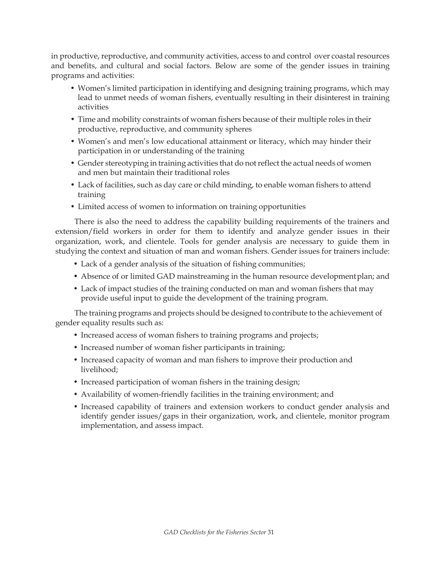in productive, reproductive, and community activities, access to and control over coastal resources and benefits, and cultural and social factors. Below are some of the gender issues in training programs and activities:

- Women's limited participation in identifying and designing training programs, which may lead to unmet needs of woman fishers, eventually resulting in their disinterest in training activities
- Time and mobility constraints of woman fishers because of their multiple roles in their productive, reproductive, and community spheres
- Women's and men's low educational attainment or literacy, which may hinder their participation in or understanding of the training
- Gender stereotyping in training activities that do not reflect the actual needs of women and men but maintain their traditional roles
- Lack of facilities, such as day care or child minding, to enable woman fishers to attend training
- Limited access of women to information on training opportunities

There is also the need to address the capability building requirements of the trainers and extension/field workers in order for them to identify and analyze gender issues in their organization, work, and clientele. Tools for gender analysis are necessary to guide them in studying the context and situation of man and woman fishers. Gender issues for trainers include:

- Lack of a gender analysis of the situation of fishing communities;
- Absence of or limited GAD mainstreaming in the human resource development plan; and
- Lack of impact studies of the training conducted on man and woman fishers that may provide useful input to guide the development of the training program.

The training programs and projects should be designed to contribute to the achievement of gender equality results such as:

- Increased access of woman fishers to training programs and projects;
- Increased number of woman fisher participants in training;
- Increased capacity of woman and man fishers to improve their production and livelihood;
- Increased participation of woman fishers in the training design;
- Availability of women-friendly facilities in the training environment; and
- Increased capability of trainers and extension workers to conduct gender analysis and identify gender issues/gaps in their organization, work, and clientele, monitor program implementation, and assess impact.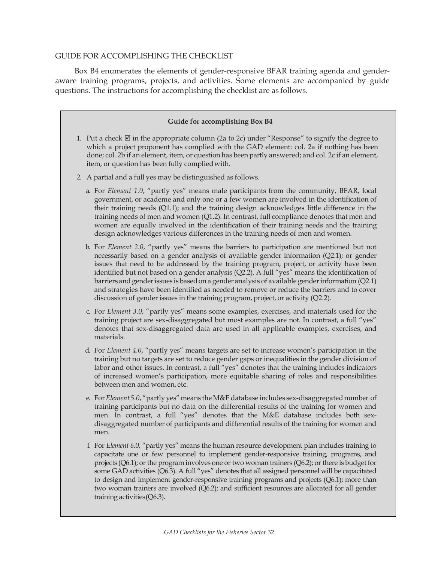#### GUIDE FOR ACCOMPLISHING THE CHECKLIST

Box B4 enumerates the elements of gender-responsive BFAR training agenda and genderaware training programs, projects, and activities. Some elements are accompanied by guide questions. The instructions for accomplishing the checklist are as follows.

#### **Guide for accomplishing Box B4**

- 1. Put a check  $\boxtimes$  in the appropriate column (2a to 2c) under "Response" to signify the degree to which a project proponent has complied with the GAD element: col. 2a if nothing has been done; col. 2b if an element, item, or question has been partly answered; and col. 2c if an element, item, or question has been fully compliedwith.
- 2. A partial and a full yes may be distinguished as follows.
	- a. For *Element 1.0*, "partly yes" means male participants from the community, BFAR, local government, or academe and only one or a few women are involved in the identification of their training needs (Q1.1); and the training design acknowledges little difference in the training needs of men and women (Q1.2). In contrast, full compliance denotes that men and women are equally involved in the identification of their training needs and the training design acknowledges various differences in the training needs of men and women.
	- b. For *Element 2.0*, "partly yes" means the barriers to participation are mentioned but not necessarily based on a gender analysis of available gender information (Q2.1); or gender issues that need to be addressed by the training program, project, or activity have been identified but not based on a gender analysis (Q2.2). A full "yes" means the identification of barriers and genderissues is basedon a gender analysis of available genderinformation (Q2.1) and strategies have been identified as needed to remove or reduce the barriers and to cover discussion of gender issues in the training program, project, or activity (Q2.2).
	- c. For *Element 3.0*, "partly yes" means some examples, exercises, and materials used for the training project are sex-disaggregated but most examples are not. In contrast, a full "yes" denotes that sex-disaggregated data are used in all applicable examples, exercises, and materials.
	- d. For *Element 4.0*, "partly yes" means targets are set to increase women's participation in the training but no targets are set to reduce gender gaps or inequalities in the gender division of labor and other issues. In contrast, a full "yes" denotes that the training includes indicators of increased women's participation, more equitable sharing of roles and responsibilities between men and women, etc.
	- e. For *Element 5.0*, "partly yes"means the M&E database includes sex-disaggregated number of training participants but no data on the differential results of the training for women and men. In contrast, a full "yes" denotes that the M&E database includes both sexdisaggregated number of participants and differential results of the training for women and men.
	- f. For *Element 6.0*, "partly yes" means the human resource development plan includes training to capacitate one or few personnel to implement gender-responsive training, programs, and projects (Q6.1); or the program involves one or two woman trainers (Q6.2); or there is budget for some GAD activities (Q6.3). A full "yes" denotes that all assigned personnel will be capacitated to design and implement gender-responsive training programs and projects (Q6.1); more than two woman trainers are involved (Q6.2); and sufficient resources are allocated for all gender training activities(Q6.3).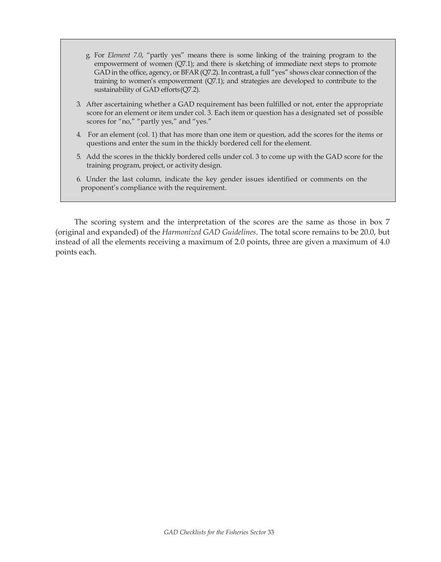- g. For *Element 7.0*, "partly yes" means there is some linking of the training program to the empowerment of women (Q7.1); and there is sketching of immediate next steps to promote GAD in the office, agency, or BFAR (Q7.2). In contrast, a full "yes" shows clear connection of the training to women's empowerment (Q7.1); and strategies are developed to contribute to the sustainability of GAD efforts(Q7.2).
- 3. After ascertaining whether a GAD requirement has been fulfilled or not, enter the appropriate score for an element or item under col. 3. Each item or question has a designated set of possible scores for "no," "partly yes," and "yes."
- 4. For an element (col. 1) that has more than one item or question, add the scores for the items or questions and enter the sum in the thickly bordered cell for the element.
- 5. Add the scores in the thickly bordered cells under col. 3 to come up with the GAD score for the training program, project, or activitydesign.
- 6. Under the last column, indicate the key gender issues identified or comments on the proponent's compliance with the requirement.

The scoring system and the interpretation of the scores are the same as those in box 7 (original and expanded) of the *Harmonized GAD Guidelines*. The total score remains to be 20.0, but instead of all the elements receiving a maximum of 2.0 points, three are given a maximum of 4.0 points each.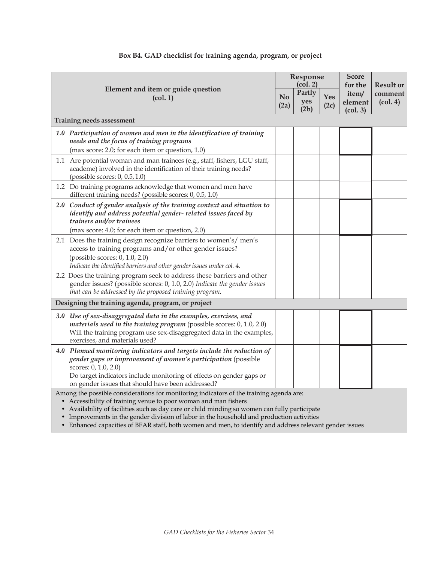| Element and item or guide question<br>(col. 1)                                                                                                                                                                                                              |                                                                                                                                                                                                                                                                                              | Response<br>(col. 2)   |                       |             | <b>Score</b><br>for the      | <b>Result or</b>                        |
|-------------------------------------------------------------------------------------------------------------------------------------------------------------------------------------------------------------------------------------------------------------|----------------------------------------------------------------------------------------------------------------------------------------------------------------------------------------------------------------------------------------------------------------------------------------------|------------------------|-----------------------|-------------|------------------------------|-----------------------------------------|
|                                                                                                                                                                                                                                                             |                                                                                                                                                                                                                                                                                              | N <sub>o</sub><br>(2a) | Partly<br>yes<br>(2b) | Yes<br>(2c) | item/<br>element<br>(col. 3) | comment<br>$\left(\text{col. }4\right)$ |
|                                                                                                                                                                                                                                                             | Training needs assessment                                                                                                                                                                                                                                                                    |                        |                       |             |                              |                                         |
|                                                                                                                                                                                                                                                             | 1.0 Participation of women and men in the identification of training<br>needs and the focus of training programs<br>(max score: 2.0; for each item or question, 1.0)                                                                                                                         |                        |                       |             |                              |                                         |
|                                                                                                                                                                                                                                                             | 1.1 Are potential woman and man trainees (e.g., staff, fishers, LGU staff,<br>academe) involved in the identification of their training needs?<br>(possible scores: $0$ , $0.5$ , $1.0$ )                                                                                                    |                        |                       |             |                              |                                         |
|                                                                                                                                                                                                                                                             | 1.2 Do training programs acknowledge that women and men have<br>different training needs? (possible scores: 0, 0.5, 1.0)                                                                                                                                                                     |                        |                       |             |                              |                                         |
|                                                                                                                                                                                                                                                             | 2.0 Conduct of gender analysis of the training context and situation to<br>identify and address potential gender- related issues faced by<br>trainers and/or trainees<br>(max score: 4.0; for each item or question, 2.0)                                                                    |                        |                       |             |                              |                                         |
|                                                                                                                                                                                                                                                             | 2.1 Does the training design recognize barriers to women's/men's<br>access to training programs and/or other gender issues?<br>(possible scores: 0, 1.0, 2.0)<br>Indicate the identified barriers and other gender issues under col. 4.                                                      |                        |                       |             |                              |                                         |
|                                                                                                                                                                                                                                                             | 2.2 Does the training program seek to address these barriers and other<br>gender issues? (possible scores: 0, 1.0, 2.0) Indicate the gender issues<br>that can be addressed by the proposed training program.                                                                                |                        |                       |             |                              |                                         |
|                                                                                                                                                                                                                                                             | Designing the training agenda, program, or project                                                                                                                                                                                                                                           |                        |                       |             |                              |                                         |
|                                                                                                                                                                                                                                                             | 3.0 Use of sex-disaggregated data in the examples, exercises, and<br>materials used in the training program (possible scores: $0, 1.0, 2.0$ )<br>Will the training program use sex-disaggregated data in the examples,<br>exercises, and materials used?                                     |                        |                       |             |                              |                                         |
|                                                                                                                                                                                                                                                             | 4.0 Planned monitoring indicators and targets include the reduction of<br>gender gaps or improvement of women's participation (possible<br>scores: 0, 1.0, 2.0)<br>Do target indicators include monitoring of effects on gender gaps or<br>on gender issues that should have been addressed? |                        |                       |             |                              |                                         |
| Among the possible considerations for monitoring indicators of the training agenda are:<br>• Accessibility of training venue to poor woman and man fishers<br>• Availability of facilities such as day care or child minding so women can fully participate |                                                                                                                                                                                                                                                                                              |                        |                       |             |                              |                                         |

## **Box B4. GAD checklist for training agenda, program, or project**

• Improvements in the gender division of labor in the household and production activities

• Enhanced capacities of BFAR staff, both women and men, to identify and address relevant gender issues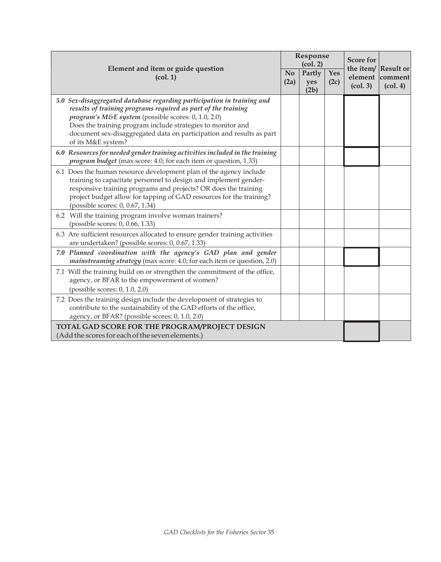| Element and item or guide question<br>(col. 1)                                                                                                                                                                                                                                                                                                              |  | Response<br>(col. 2)  |             | <b>Score for</b><br>(col. 3) | the item/ Result or<br>element comment<br>$\left(\text{col. }4\right)$ |
|-------------------------------------------------------------------------------------------------------------------------------------------------------------------------------------------------------------------------------------------------------------------------------------------------------------------------------------------------------------|--|-----------------------|-------------|------------------------------|------------------------------------------------------------------------|
|                                                                                                                                                                                                                                                                                                                                                             |  | Partly<br>yes<br>(2b) | Yes<br>(2c) |                              |                                                                        |
| 5.0 Sex-disaggregated database regarding participation in training and<br>results of training programs required as part of the training<br>program's M&E system (possible scores: 0, 1.0, 2.0)<br>Does the training program include strategies to monitor and<br>document sex-disaggregated data on participation and results as part<br>of its M&E system? |  |                       |             |                              |                                                                        |
| 6.0 Resources for needed gender training activities included in the training<br><i>program budget</i> (max score: 4.0; for each item or question, 1.33)                                                                                                                                                                                                     |  |                       |             |                              |                                                                        |
| 6.1 Does the human resource development plan of the agency include<br>training to capacitate personnel to design and implement gender-<br>responsive training programs and projects? OR does the training<br>project budget allow for tapping of GAD resources for the training?<br>(possible scores: 0, 0.67, 1.34)                                        |  |                       |             |                              |                                                                        |
| 6.2 Will the training program involve woman trainers?<br>(possible scores: 0, 0.66, 1.33)                                                                                                                                                                                                                                                                   |  |                       |             |                              |                                                                        |
| 6.3 Are sufficient resources allocated to ensure gender training activities<br>are undertaken? (possible scores: 0, 0.67, 1.33)                                                                                                                                                                                                                             |  |                       |             |                              |                                                                        |
| 7.0 Planned coordination with the agency's GAD plan and gender<br><i>mainstreaming strategy</i> (max score: 4.0; for each item or question, 2.0)                                                                                                                                                                                                            |  |                       |             |                              |                                                                        |
| 7.1 Will the training build on or strengthen the commitment of the office,<br>agency, or BFAR to the empowerment of women?<br>(possible scores: $0, 1.0, 2.0$ )                                                                                                                                                                                             |  |                       |             |                              |                                                                        |
| 7.2 Does the training design include the development of strategies to<br>contribute to the sustainability of the GAD efforts of the office,<br>agency, or BFAR? (possible scores: 0, 1.0, 2.0)                                                                                                                                                              |  |                       |             |                              |                                                                        |
| TOTAL GAD SCORE FOR THE PROGRAM/PROJECT DESIGN<br>(Add the scores for each of the seven elements.)                                                                                                                                                                                                                                                          |  |                       |             |                              |                                                                        |